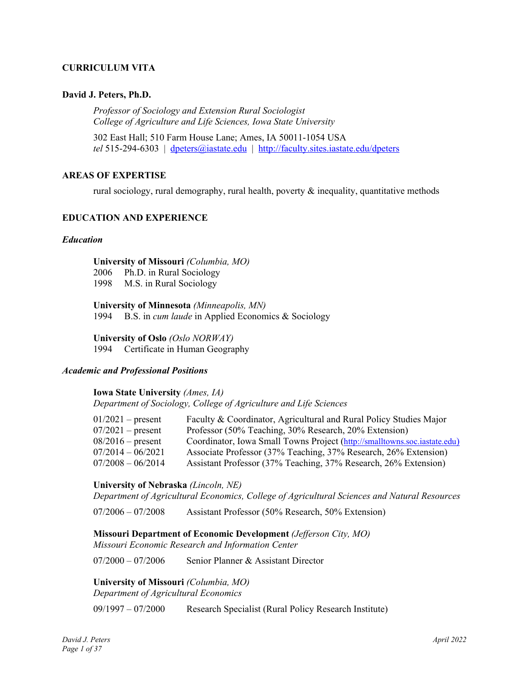# **CURRICULUM VITA**

#### **David J. Peters, Ph.D.**

*Professor of Sociology and Extension Rural Sociologist College of Agriculture and Life Sciences, Iowa State University* 

302 East Hall; 510 Farm House Lane; Ames, IA 50011-1054 USA *tel* 515-294-6303 | dpeters@iastate.edu | http://faculty.sites.iastate.edu/dpeters

#### **AREAS OF EXPERTISE**

rural sociology, rural demography, rural health, poverty  $\&$  inequality, quantitative methods

#### **EDUCATION AND EXPERIENCE**

#### *Education*

**University of Missouri** *(Columbia, MO)*

2006 Ph.D. in Rural Sociology

1998 M.S. in Rural Sociology

**University of Minnesota** *(Minneapolis, MN)* 1994 B.S. in *cum laude* in Applied Economics & Sociology

**University of Oslo** *(Oslo NORWAY)*

1994 Certificate in Human Geography

### *Academic and Professional Positions*

**Iowa State University** *(Ames, IA) Department of Sociology, College of Agriculture and Life Sciences* 

| $01/2021$ – present | Faculty & Coordinator, Agricultural and Rural Policy Studies Major        |
|---------------------|---------------------------------------------------------------------------|
| $07/2021$ – present | Professor (50% Teaching, 30% Research, 20% Extension)                     |
| $08/2016$ – present | Coordinator, Iowa Small Towns Project (http://smalltowns.soc.iastate.edu) |
| $07/2014 - 06/2021$ | Associate Professor (37% Teaching, 37% Research, 26% Extension)           |
| $07/2008 - 06/2014$ | Assistant Professor (37% Teaching, 37% Research, 26% Extension)           |

#### **University of Nebraska** *(Lincoln, NE)*

*Department of Agricultural Economics, College of Agricultural Sciences and Natural Resources* 

07/2006 – 07/2008 Assistant Professor (50% Research, 50% Extension)

#### **Missouri Department of Economic Development** *(Jefferson City, MO)*

*Missouri Economic Research and Information Center* 

07/2000 – 07/2006 Senior Planner & Assistant Director

**University of Missouri** *(Columbia, MO) Department of Agricultural Economics* 

09/1997 – 07/2000 Research Specialist (Rural Policy Research Institute)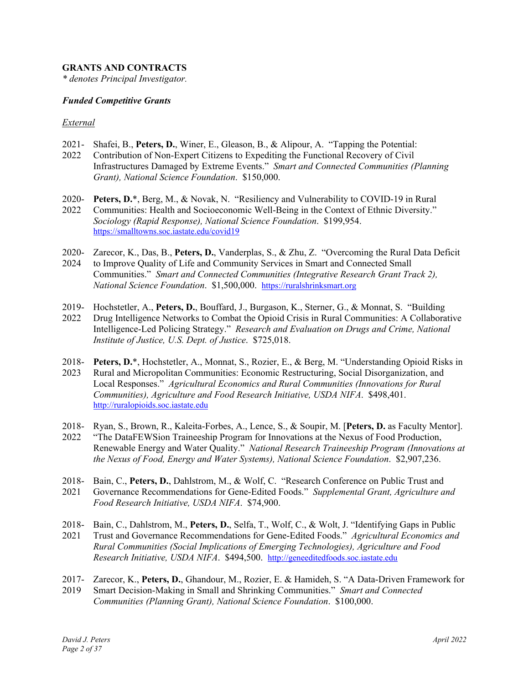# **GRANTS AND CONTRACTS**

*\* denotes Principal Investigator.* 

#### *Funded Competitive Grants*

#### *External*

- 2021- Shafei, B., **Peters, D.**, Winer, E., Gleason, B., & Alipour, A. "Tapping the Potential:
- 2022 Contribution of Non-Expert Citizens to Expediting the Functional Recovery of Civil Infrastructures Damaged by Extreme Events." *Smart and Connected Communities (Planning Grant), National Science Foundation*. \$150,000.
- 2020- **Peters, D.**\*, Berg, M., & Novak, N. "Resiliency and Vulnerability to COVID-19 in Rural
- 2022 Communities: Health and Socioeconomic Well-Being in the Context of Ethnic Diversity." *Sociology (Rapid Response), National Science Foundation*. \$199,954. https://smalltowns.soc.iastate.edu/covid19
- 2020- Zarecor, K., Das, B., **Peters, D.**, Vanderplas, S., & Zhu, Z. "Overcoming the Rural Data Deficit
- 2024 to Improve Quality of Life and Community Services in Smart and Connected Small Communities." *Smart and Connected Communities (Integrative Research Grant Track 2), National Science Foundation*. \$1,500,000. https://ruralshrinksmart.org
- 2019- Hochstetler, A., **Peters, D.**, Bouffard, J., Burgason, K., Sterner, G., & Monnat, S. "Building
- 2022 Drug Intelligence Networks to Combat the Opioid Crisis in Rural Communities: A Collaborative Intelligence-Led Policing Strategy." *Research and Evaluation on Drugs and Crime, National Institute of Justice, U.S. Dept. of Justice*. \$725,018.
- 2018- **Peters, D.**\*, Hochstetler, A., Monnat, S., Rozier, E., & Berg, M. "Understanding Opioid Risks in 2023 Rural and Micropolitan Communities: Economic Restructuring, Social Disorganization, and Local Responses." *Agricultural Economics and Rural Communities (Innovations for Rural Communities), Agriculture and Food Research Initiative, USDA NIFA*. \$498,401. http://ruralopioids.soc.iastate.edu
- 2018- Ryan, S., Brown, R., Kaleita-Forbes, A., Lence, S., & Soupir, M. [**Peters, D.** as Faculty Mentor].
- 2022 "The DataFEWSion Traineeship Program for Innovations at the Nexus of Food Production, Renewable Energy and Water Quality." *National Research Traineeship Program (Innovations at the Nexus of Food, Energy and Water Systems), National Science Foundation*. \$2,907,236.
- 2018- Bain, C., **Peters, D.**, Dahlstrom, M., & Wolf, C. "Research Conference on Public Trust and
- 2021 Governance Recommendations for Gene-Edited Foods." *Supplemental Grant, Agriculture and Food Research Initiative, USDA NIFA*. \$74,900.
- 2018- Bain, C., Dahlstrom, M., **Peters, D.**, Selfa, T., Wolf, C., & Wolt, J. "Identifying Gaps in Public
- 2021 Trust and Governance Recommendations for Gene-Edited Foods." *Agricultural Economics and Rural Communities (Social Implications of Emerging Technologies), Agriculture and Food Research Initiative, USDA NIFA*. \$494,500. http://geneeditedfoods.soc.iastate.edu
- 2017- Zarecor, K., **Peters, D.**, Ghandour, M., Rozier, E. & Hamideh, S. "A Data-Driven Framework for
- 2019 Smart Decision-Making in Small and Shrinking Communities." *Smart and Connected Communities (Planning Grant), National Science Foundation*. \$100,000.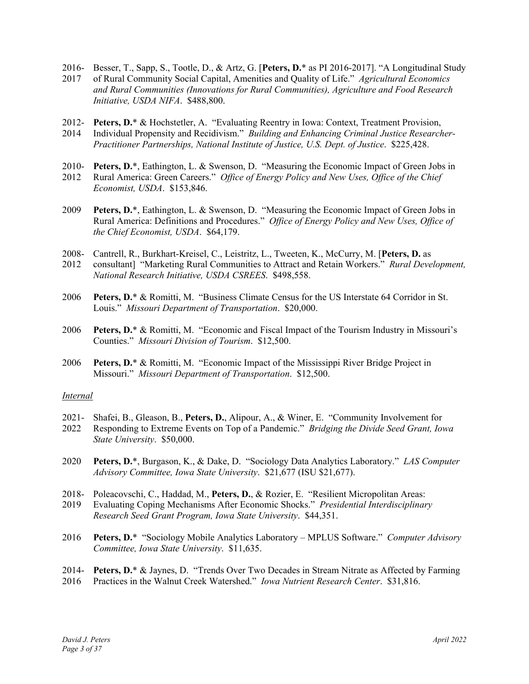- 2016- Besser, T., Sapp, S., Tootle, D., & Artz, G. [**Peters, D.**\* as PI 2016-2017]. "A Longitudinal Study
- 2017 of Rural Community Social Capital, Amenities and Quality of Life." *Agricultural Economics and Rural Communities (Innovations for Rural Communities), Agriculture and Food Research Initiative, USDA NIFA*. \$488,800.
- 2012- **Peters, D.**\* & Hochstetler, A. "Evaluating Reentry in Iowa: Context, Treatment Provision,
- 2014 Individual Propensity and Recidivism." *Building and Enhancing Criminal Justice Researcher-Practitioner Partnerships, National Institute of Justice, U.S. Dept. of Justice*. \$225,428.
- 2010- **Peters, D.**\*, Eathington, L. & Swenson, D. "Measuring the Economic Impact of Green Jobs in
- 2012 Rural America: Green Careers." *Office of Energy Policy and New Uses, Office of the Chief Economist, USDA*. \$153,846.
- 2009 **Peters, D.**\*, Eathington, L. & Swenson, D. "Measuring the Economic Impact of Green Jobs in Rural America: Definitions and Procedures." *Office of Energy Policy and New Uses, Office of the Chief Economist, USDA*. \$64,179.
- 2008- Cantrell, R., Burkhart-Kreisel, C., Leistritz, L., Tweeten, K., McCurry, M. [**Peters, D.** as
- 2012 consultant] "Marketing Rural Communities to Attract and Retain Workers." *Rural Development, National Research Initiative, USDA CSREES*. \$498,558.
- 2006 **Peters, D.**\* & Romitti, M. "Business Climate Census for the US Interstate 64 Corridor in St. Louis." *Missouri Department of Transportation*. \$20,000.
- 2006 **Peters, D.**\* & Romitti, M. "Economic and Fiscal Impact of the Tourism Industry in Missouri's Counties." *Missouri Division of Tourism*. \$12,500.
- 2006 **Peters, D.**\* & Romitti, M. "Economic Impact of the Mississippi River Bridge Project in Missouri." *Missouri Department of Transportation*. \$12,500.

# *Internal*

- 2021- Shafei, B., Gleason, B., **Peters, D.**, Alipour, A., & Winer, E. "Community Involvement for
- 2022 Responding to Extreme Events on Top of a Pandemic." *Bridging the Divide Seed Grant, Iowa State University*. \$50,000.
- 2020 **Peters, D.**\*, Burgason, K., & Dake, D. "Sociology Data Analytics Laboratory." *LAS Computer Advisory Committee, Iowa State University*. \$21,677 (ISU \$21,677).
- 2018- Poleacovschi, C., Haddad, M., **Peters, D.**, & Rozier, E. "Resilient Micropolitan Areas:
- 2019 Evaluating Coping Mechanisms After Economic Shocks." *Presidential Interdisciplinary Research Seed Grant Program, Iowa State University*. \$44,351.
- 2016 **Peters, D.**\* "Sociology Mobile Analytics Laboratory MPLUS Software." *Computer Advisory Committee, Iowa State University*. \$11,635.
- 2014- **Peters, D.**\* & Jaynes, D. "Trends Over Two Decades in Stream Nitrate as Affected by Farming
- 2016 Practices in the Walnut Creek Watershed." *Iowa Nutrient Research Center*. \$31,816.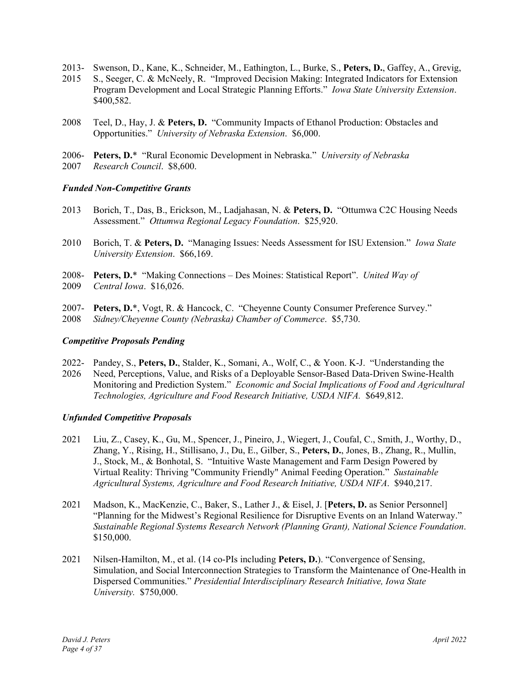- 2013- Swenson, D., Kane, K., Schneider, M., Eathington, L., Burke, S., **Peters, D.**, Gaffey, A., Grevig,
- 2015 S., Seeger, C. & McNeely, R. "Improved Decision Making: Integrated Indicators for Extension Program Development and Local Strategic Planning Efforts." *Iowa State University Extension*. \$400,582.
- 2008 Teel, D., Hay, J. & **Peters, D.** "Community Impacts of Ethanol Production: Obstacles and Opportunities." *University of Nebraska Extension*. \$6,000.
- 2006- **Peters, D.**\* "Rural Economic Development in Nebraska." *University of Nebraska*  2007 *Research Council*. \$8,600.

### *Funded Non-Competitive Grants*

- 2013 Borich, T., Das, B., Erickson, M., Ladjahasan, N. & **Peters, D.** "Ottumwa C2C Housing Needs Assessment." *Ottumwa Regional Legacy Foundation*. \$25,920.
- 2010 Borich, T. & **Peters, D.** "Managing Issues: Needs Assessment for ISU Extension." *Iowa State University Extension*. \$66,169.
- 2008- **Peters, D.**\* "Making Connections Des Moines: Statistical Report". *United Way of*  2009 *Central Iowa*. \$16,026.
- 2007- **Peters, D.**\*, Vogt, R. & Hancock, C. "Cheyenne County Consumer Preference Survey." 2008 *Sidney/Cheyenne County (Nebraska) Chamber of Commerce*. \$5,730.

#### *Competitive Proposals Pending*

- 2022- Pandey, S., **Peters, D.**, Stalder, K., Somani, A., Wolf, C., & Yoon. K-J. "Understanding the
- 2026 Need, Perceptions, Value, and Risks of a Deployable Sensor-Based Data-Driven Swine-Health Monitoring and Prediction System." *Economic and Social Implications of Food and Agricultural Technologies, Agriculture and Food Research Initiative, USDA NIFA.* \$649,812.

#### *Unfunded Competitive Proposals*

- 2021 Liu, Z., Casey, K., Gu, M., Spencer, J., Pineiro, J., Wiegert, J., Coufal, C., Smith, J., Worthy, D., Zhang, Y., Rising, H., Stillisano, J., Du, E., Gilber, S., **Peters, D.**, Jones, B., Zhang, R., Mullin, J., Stock, M., & Bonhotal, S. "Intuitive Waste Management and Farm Design Powered by Virtual Reality: Thriving "Community Friendly" Animal Feeding Operation." *Sustainable Agricultural Systems, Agriculture and Food Research Initiative, USDA NIFA*. \$940,217.
- 2021 Madson, K., MacKenzie, C., Baker, S., Lather J., & Eisel, J. [**Peters, D.** as Senior Personnel] "Planning for the Midwest's Regional Resilience for Disruptive Events on an Inland Waterway." *Sustainable Regional Systems Research Network (Planning Grant), National Science Foundation*. \$150,000.
- 2021 Nilsen-Hamilton, M., et al. (14 co-PIs including **Peters, D.**). "Convergence of Sensing, Simulation, and Social Interconnection Strategies to Transform the Maintenance of One-Health in Dispersed Communities." *Presidential Interdisciplinary Research Initiative, Iowa State University.* \$750,000.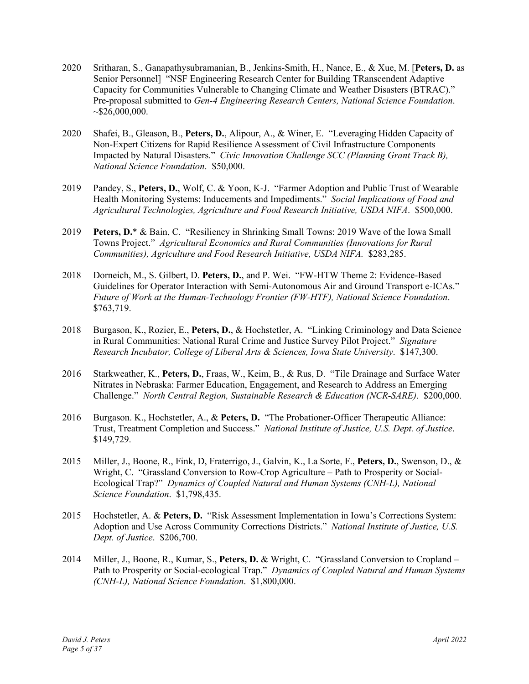- 2020 Sritharan, S., Ganapathysubramanian, B., Jenkins-Smith, H., Nance, E., & Xue, M. [**Peters, D.** as Senior Personnel] "NSF Engineering Research Center for Building TRanscendent Adaptive Capacity for Communities Vulnerable to Changing Climate and Weather Disasters (BTRAC)." Pre-proposal submitted to *Gen-4 Engineering Research Centers, National Science Foundation*.  $~526,000,000.$
- 2020 Shafei, B., Gleason, B., **Peters, D.**, Alipour, A., & Winer, E. "Leveraging Hidden Capacity of Non-Expert Citizens for Rapid Resilience Assessment of Civil Infrastructure Components Impacted by Natural Disasters." *Civic Innovation Challenge SCC (Planning Grant Track B), National Science Foundation*. \$50,000.
- 2019 Pandey, S., **Peters, D.**, Wolf, C. & Yoon, K-J. "Farmer Adoption and Public Trust of Wearable Health Monitoring Systems: Inducements and Impediments." *Social Implications of Food and Agricultural Technologies, Agriculture and Food Research Initiative, USDA NIFA*. \$500,000.
- 2019 **Peters, D.**\* & Bain, C. "Resiliency in Shrinking Small Towns: 2019 Wave of the Iowa Small Towns Project." *Agricultural Economics and Rural Communities (Innovations for Rural Communities), Agriculture and Food Research Initiative, USDA NIFA.* \$283,285.
- 2018 Dorneich, M., S. Gilbert, D. **Peters, D.**, and P. Wei. "FW-HTW Theme 2: Evidence-Based Guidelines for Operator Interaction with Semi-Autonomous Air and Ground Transport e-ICAs." *Future of Work at the Human-Technology Frontier (FW-HTF), National Science Foundation*. \$763,719.
- 2018 Burgason, K., Rozier, E., **Peters, D.**, & Hochstetler, A. "Linking Criminology and Data Science in Rural Communities: National Rural Crime and Justice Survey Pilot Project." *Signature Research Incubator, College of Liberal Arts & Sciences, Iowa State University*. \$147,300.
- 2016 Starkweather, K., **Peters, D.**, Fraas, W., Keim, B., & Rus, D. "Tile Drainage and Surface Water Nitrates in Nebraska: Farmer Education, Engagement, and Research to Address an Emerging Challenge." *North Central Region, Sustainable Research & Education (NCR-SARE)*. \$200,000.
- 2016 Burgason. K., Hochstetler, A., & **Peters, D.** "The Probationer-Officer Therapeutic Alliance: Trust, Treatment Completion and Success." *National Institute of Justice, U.S. Dept. of Justice*. \$149,729.
- 2015 Miller, J., Boone, R., Fink, D, Fraterrigo, J., Galvin, K., La Sorte, F., **Peters, D.**, Swenson, D., & Wright, C. "Grassland Conversion to Row-Crop Agriculture – Path to Prosperity or Social-Ecological Trap?" *Dynamics of Coupled Natural and Human Systems (CNH-L), National Science Foundation*. \$1,798,435.
- 2015 Hochstetler, A. & **Peters, D.** "Risk Assessment Implementation in Iowa's Corrections System: Adoption and Use Across Community Corrections Districts." *National Institute of Justice, U.S. Dept. of Justice*. \$206,700.
- 2014 Miller, J., Boone, R., Kumar, S., **Peters, D.** & Wright, C. "Grassland Conversion to Cropland Path to Prosperity or Social-ecological Trap." *Dynamics of Coupled Natural and Human Systems (CNH-L), National Science Foundation*. \$1,800,000.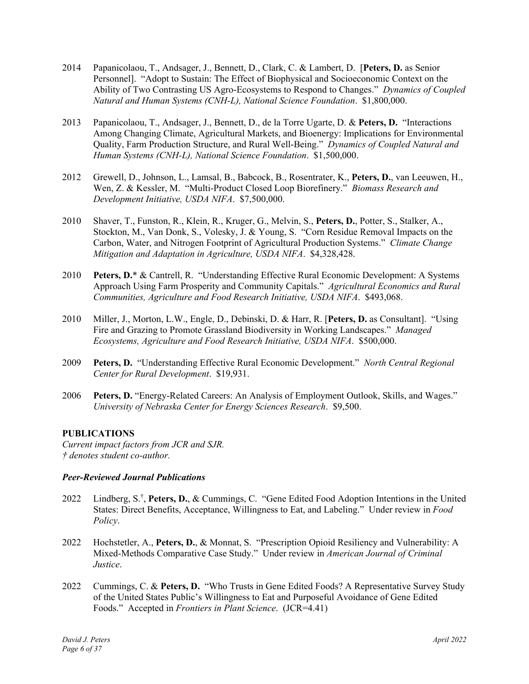- 2014 Papanicolaou, T., Andsager, J., Bennett, D., Clark, C. & Lambert, D. [**Peters, D.** as Senior Personnel]. "Adopt to Sustain: The Effect of Biophysical and Socioeconomic Context on the Ability of Two Contrasting US Agro-Ecosystems to Respond to Changes." *Dynamics of Coupled Natural and Human Systems (CNH-L), National Science Foundation*. \$1,800,000.
- 2013 Papanicolaou, T., Andsager, J., Bennett, D., de la Torre Ugarte, D. & **Peters, D.** "Interactions Among Changing Climate, Agricultural Markets, and Bioenergy: Implications for Environmental Quality, Farm Production Structure, and Rural Well-Being." *Dynamics of Coupled Natural and Human Systems (CNH-L), National Science Foundation*. \$1,500,000.
- 2012 Grewell, D., Johnson, L., Lamsal, B., Babcock, B., Rosentrater, K., **Peters, D.**, van Leeuwen, H., Wen, Z. & Kessler, M. "Multi-Product Closed Loop Biorefinery." *Biomass Research and Development Initiative, USDA NIFA*. \$7,500,000.
- 2010 Shaver, T., Funston, R., Klein, R., Kruger, G., Melvin, S., **Peters, D.**, Potter, S., Stalker, A., Stockton, M., Van Donk, S., Volesky, J. & Young, S. "Corn Residue Removal Impacts on the Carbon, Water, and Nitrogen Footprint of Agricultural Production Systems." *Climate Change Mitigation and Adaptation in Agriculture, USDA NIFA*. \$4,328,428.
- 2010 **Peters, D.**\* & Cantrell, R. "Understanding Effective Rural Economic Development: A Systems Approach Using Farm Prosperity and Community Capitals." *Agricultural Economics and Rural Communities, Agriculture and Food Research Initiative, USDA NIFA*. \$493,068.
- 2010 Miller, J., Morton, L.W., Engle, D., Debinski, D. & Harr, R. [**Peters, D.** as Consultant]. "Using Fire and Grazing to Promote Grassland Biodiversity in Working Landscapes." *Managed Ecosystems, Agriculture and Food Research Initiative, USDA NIFA*. \$500,000.
- 2009 **Peters, D.** "Understanding Effective Rural Economic Development." *North Central Regional Center for Rural Development*. \$19,931.
- 2006 **Peters, D.** "Energy-Related Careers: An Analysis of Employment Outlook, Skills, and Wages." *University of Nebraska Center for Energy Sciences Research*. \$9,500.

# **PUBLICATIONS**

*Current impact factors from JCR and SJR. † denotes student co-author.* 

# *Peer-Reviewed Journal Publications*

- 2022 Lindberg, S.† , **Peters, D.**, & Cummings, C. "Gene Edited Food Adoption Intentions in the United States: Direct Benefits, Acceptance, Willingness to Eat, and Labeling." Under review in *Food Policy*.
- 2022 Hochstetler, A., **Peters, D.**, & Monnat, S. "Prescription Opioid Resiliency and Vulnerability: A Mixed-Methods Comparative Case Study." Under review in *American Journal of Criminal Justice*.
- 2022 Cummings, C. & **Peters, D.** "Who Trusts in Gene Edited Foods? A Representative Survey Study of the United States Public's Willingness to Eat and Purposeful Avoidance of Gene Edited Foods." Accepted in *Frontiers in Plant Science*. (JCR=4.41)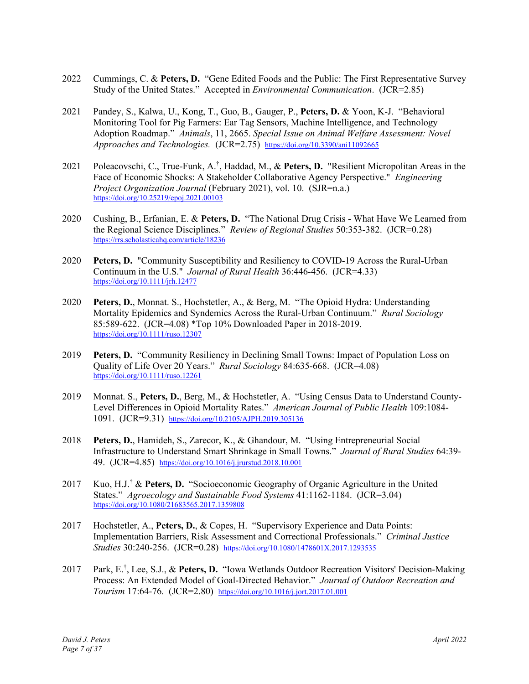- 2022 Cummings, C. & **Peters, D.** "Gene Edited Foods and the Public: The First Representative Survey Study of the United States." Accepted in *Environmental Communication*. (JCR=2.85)
- 2021 Pandey, S., Kalwa, U., Kong, T., Guo, B., Gauger, P., **Peters, D.** & Yoon, K-J. "Behavioral Monitoring Tool for Pig Farmers: Ear Tag Sensors, Machine Intelligence, and Technology Adoption Roadmap." *Animals*, 11, 2665. *Special Issue on Animal Welfare Assessment: Novel Approaches and Technologies.* (JCR=2.75) https://doi.org/10.3390/ani11092665
- 2021 Poleacovschi, C., True-Funk, A.† , Haddad, M., & **Peters, D.** "Resilient Micropolitan Areas in the Face of Economic Shocks: A Stakeholder Collaborative Agency Perspective." *Engineering Project Organization Journal* (February 2021), vol. 10. (SJR=n.a.) https://doi.org/10.25219/epoj.2021.00103
- 2020 Cushing, B., Erfanian, E. & **Peters, D.** "The National Drug Crisis What Have We Learned from the Regional Science Disciplines." *Review of Regional Studies* 50:353-382. (JCR=0.28) https://rrs.scholasticahq.com/article/18236
- 2020 **Peters, D.** "Community Susceptibility and Resiliency to COVID-19 Across the Rural-Urban Continuum in the U.S." *Journal of Rural Health* 36:446-456. (JCR=4.33) https://doi.org/10.1111/jrh.12477
- 2020 **Peters, D.**, Monnat. S., Hochstetler, A., & Berg, M. "The Opioid Hydra: Understanding Mortality Epidemics and Syndemics Across the Rural-Urban Continuum." *Rural Sociology* 85:589-622. (JCR=4.08) \*Top 10% Downloaded Paper in 2018-2019. https://doi.org/10.1111/ruso.12307
- 2019 **Peters, D.** "Community Resiliency in Declining Small Towns: Impact of Population Loss on Quality of Life Over 20 Years." *Rural Sociology* 84:635-668. (JCR=4.08) https://doi.org/10.1111/ruso.12261
- 2019 Monnat. S., **Peters, D.**, Berg, M., & Hochstetler, A. "Using Census Data to Understand County-Level Differences in Opioid Mortality Rates." *American Journal of Public Health* 109:1084- 1091. (JCR=9.31) https://doi.org/10.2105/AJPH.2019.305136
- 2018 **Peters, D.**, Hamideh, S., Zarecor, K., & Ghandour, M. "Using Entrepreneurial Social Infrastructure to Understand Smart Shrinkage in Small Towns." *Journal of Rural Studies* 64:39- 49. (JCR=4.85) https://doi.org/10.1016/j.jrurstud.2018.10.001
- 2017 Kuo, H.J.† & **Peters, D.** "Socioeconomic Geography of Organic Agriculture in the United States." *Agroecology and Sustainable Food Systems* 41:1162-1184. (JCR=3.04) https://doi.org/10.1080/21683565.2017.1359808
- 2017 Hochstetler, A., **Peters, D.**, & Copes, H. "Supervisory Experience and Data Points: Implementation Barriers, Risk Assessment and Correctional Professionals." *Criminal Justice Studies* 30:240-256. (JCR=0.28) https://doi.org/10.1080/1478601X.2017.1293535
- 2017 Park, E.† , Lee, S.J., & **Peters, D.** "Iowa Wetlands Outdoor Recreation Visitors' Decision-Making Process: An Extended Model of Goal-Directed Behavior." *Journal of Outdoor Recreation and Tourism* 17:64-76. (JCR=2.80) https://doi.org/10.1016/j.jort.2017.01.001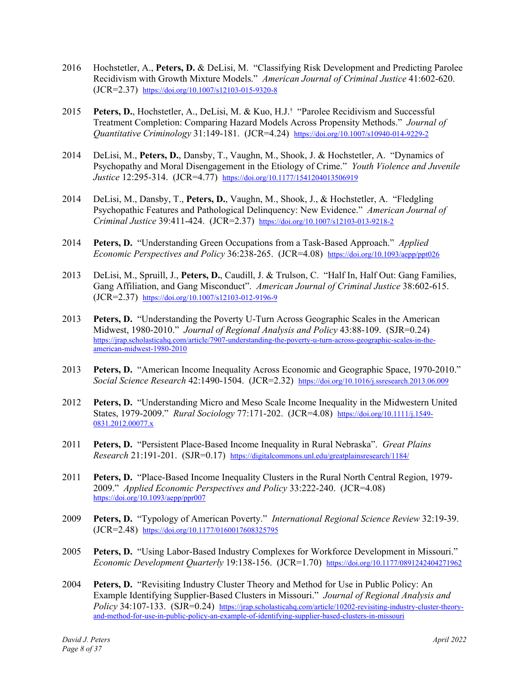- 2016 Hochstetler, A., **Peters, D.** & DeLisi, M. "Classifying Risk Development and Predicting Parolee Recidivism with Growth Mixture Models." *American Journal of Criminal Justice* 41:602-620. (JCR=2.37) https://doi.org/10.1007/s12103-015-9320-8
- 2015 **Peters, D.**, Hochstetler, A., DeLisi, M. & Kuo, H.J.† "Parolee Recidivism and Successful Treatment Completion: Comparing Hazard Models Across Propensity Methods." *Journal of Quantitative Criminology* 31:149-181. (JCR=4.24) https://doi.org/10.1007/s10940-014-9229-2
- 2014 DeLisi, M., **Peters, D.**, Dansby, T., Vaughn, M., Shook, J. & Hochstetler, A. "Dynamics of Psychopathy and Moral Disengagement in the Etiology of Crime." *Youth Violence and Juvenile Justice* 12:295-314. (JCR=4.77) https://doi.org/10.1177/1541204013506919
- 2014 DeLisi, M., Dansby, T., **Peters, D.**, Vaughn, M., Shook, J., & Hochstetler, A. "Fledgling Psychopathic Features and Pathological Delinquency: New Evidence." *American Journal of Criminal Justice* 39:411-424. (JCR=2.37) https://doi.org/10.1007/s12103-013-9218-2
- 2014 **Peters, D.** "Understanding Green Occupations from a Task-Based Approach." *Applied Economic Perspectives and Policy* 36:238-265. (JCR=4.08) https://doi.org/10.1093/aepp/ppt026
- 2013 DeLisi, M., Spruill, J., **Peters, D.**, Caudill, J. & Trulson, C. "Half In, Half Out: Gang Families, Gang Affiliation, and Gang Misconduct". *American Journal of Criminal Justice* 38:602-615. (JCR=2.37) https://doi.org/10.1007/s12103-012-9196-9
- 2013 **Peters, D.** "Understanding the Poverty U-Turn Across Geographic Scales in the American Midwest, 1980-2010." *Journal of Regional Analysis and Policy* 43:88-109. (SJR=0.24) https://jrap.scholasticahq.com/article/7907-understanding-the-poverty-u-turn-across-geographic-scales-in-theamerican-midwest-1980-2010
- 2013 **Peters, D.** "American Income Inequality Across Economic and Geographic Space, 1970-2010." *Social Science Research* 42:1490-1504. (JCR=2.32) https://doi.org/10.1016/j.ssresearch.2013.06.009
- 2012 **Peters, D.** "Understanding Micro and Meso Scale Income Inequality in the Midwestern United States, 1979-2009." *Rural Sociology* 77:171-202. (JCR=4.08) https://doi.org/10.1111/j.1549- 0831.2012.00077.x
- 2011 **Peters, D.** "Persistent Place-Based Income Inequality in Rural Nebraska". *Great Plains Research* 21:191-201. (SJR=0.17) https://digitalcommons.unl.edu/greatplainsresearch/1184/
- 2011 **Peters, D.** "Place-Based Income Inequality Clusters in the Rural North Central Region, 1979- 2009." *Applied Economic Perspectives and Policy* 33:222-240. (JCR=4.08) https://doi.org/10.1093/aepp/ppr007
- 2009 **Peters, D.** "Typology of American Poverty." *International Regional Science Review* 32:19-39. (JCR=2.48) https://doi.org/10.1177/0160017608325795
- 2005 **Peters, D.** "Using Labor-Based Industry Complexes for Workforce Development in Missouri." *Economic Development Quarterly* 19:138-156. (JCR=1.70) https://doi.org/10.1177/0891242404271962
- 2004 **Peters, D.** "Revisiting Industry Cluster Theory and Method for Use in Public Policy: An Example Identifying Supplier-Based Clusters in Missouri." *Journal of Regional Analysis and Policy* 34:107-133. (SJR=0.24) https://jrap.scholasticahq.com/article/10202-revisiting-industry-cluster-theoryand-method-for-use-in-public-policy-an-example-of-identifying-supplier-based-clusters-in-missouri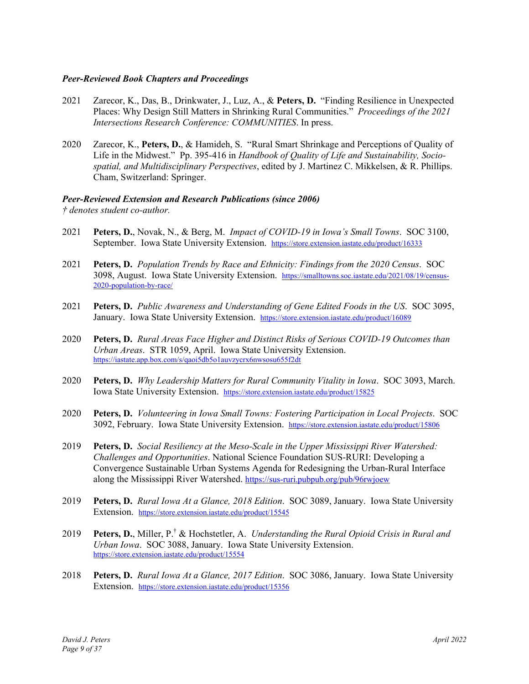### *Peer-Reviewed Book Chapters and Proceedings*

- 2021 Zarecor, K., Das, B., Drinkwater, J., Luz, A., & **Peters, D.** "Finding Resilience in Unexpected Places: Why Design Still Matters in Shrinking Rural Communities." *Proceedings of the 2021 Intersections Research Conference: COMMUNITIES*. In press.
- 2020 Zarecor, K., **Peters, D.**, & Hamideh, S. "Rural Smart Shrinkage and Perceptions of Quality of Life in the Midwest." Pp. 395-416 in *Handbook of Quality of Life and Sustainability, Sociospatial, and Multidisciplinary Perspectives*, edited by J. Martinez C. Mikkelsen, & R. Phillips. Cham, Switzerland: Springer.

### *Peer-Reviewed Extension and Research Publications (since 2006)*

*† denotes student co-author.* 

- 2021 **Peters, D.**, Novak, N., & Berg, M. *Impact of COVID-19 in Iowa's Small Towns*. SOC 3100, September. Iowa State University Extension. https://store.extension.iastate.edu/product/16333
- 2021 **Peters, D.** *Population Trends by Race and Ethnicity: Findings from the 2020 Census*. SOC 3098, August. Iowa State University Extension. https://smalltowns.soc.iastate.edu/2021/08/19/census-2020-population-by-race/
- 2021 **Peters, D.** *Public Awareness and Understanding of Gene Edited Foods in the US*. SOC 3095, January. Iowa State University Extension. https://store.extension.iastate.edu/product/16089
- 2020 **Peters, D.** *Rural Areas Face Higher and Distinct Risks of Serious COVID-19 Outcomes than Urban Areas*. STR 1059, April. Iowa State University Extension. https://iastate.app.box.com/s/qaoi5db5o1auvzycrx6nwsosu655f2dt
- 2020 **Peters, D.** *Why Leadership Matters for Rural Community Vitality in Iowa*. SOC 3093, March. Iowa State University Extension. https://store.extension.iastate.edu/product/15825
- 2020 **Peters, D.** *Volunteering in Iowa Small Towns: Fostering Participation in Local Projects*. SOC 3092, February. Iowa State University Extension. https://store.extension.iastate.edu/product/15806
- 2019 **Peters, D.** *Social Resiliency at the Meso-Scale in the Upper Mississippi River Watershed: Challenges and Opportunities*. National Science Foundation SUS-RURI: Developing a Convergence Sustainable Urban Systems Agenda for Redesigning the Urban-Rural Interface along the Mississippi River Watershed. https://sus-ruri.pubpub.org/pub/96rwjoew
- 2019 **Peters, D.** *Rural Iowa At a Glance, 2018 Edition*. SOC 3089, January. Iowa State University Extension. https://store.extension.iastate.edu/product/15545
- 2019 **Peters, D.**, Miller, P.† & Hochstetler, A. *Understanding the Rural Opioid Crisis in Rural and Urban Iowa*. SOC 3088, January. Iowa State University Extension. https://store.extension.iastate.edu/product/15554
- 2018 **Peters, D.** *Rural Iowa At a Glance, 2017 Edition*. SOC 3086, January. Iowa State University Extension. https://store.extension.iastate.edu/product/15356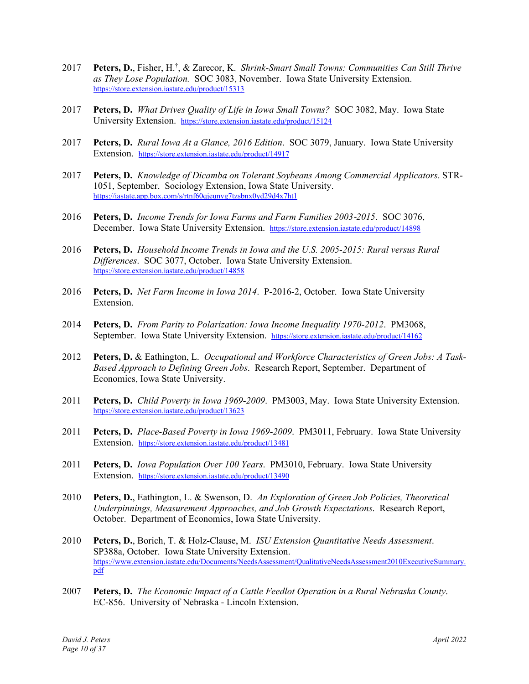- 2017 **Peters, D.**, Fisher, H.† , & Zarecor, K. *Shrink-Smart Small Towns: Communities Can Still Thrive as They Lose Population.* SOC 3083, November. Iowa State University Extension. https://store.extension.iastate.edu/product/15313
- 2017 **Peters, D.** *What Drives Quality of Life in Iowa Small Towns?* SOC 3082, May. Iowa State University Extension. https://store.extension.iastate.edu/product/15124
- 2017 **Peters, D.** *Rural Iowa At a Glance, 2016 Edition*. SOC 3079, January. Iowa State University Extension. https://store.extension.iastate.edu/product/14917
- 2017 **Peters, D.** *Knowledge of Dicamba on Tolerant Soybeans Among Commercial Applicators*. STR-1051, September. Sociology Extension, Iowa State University. https://iastate.app.box.com/s/rtnf60qjeunvg7tzsbnx0yd29d4x7ht1
- 2016 **Peters, D.** *Income Trends for Iowa Farms and Farm Families 2003*-*2015*. SOC 3076, December. Iowa State University Extension. https://store.extension.iastate.edu/product/14898
- 2016 **Peters, D.** *Household Income Trends in Iowa and the U.S. 2005-2015: Rural versus Rural Differences*. SOC 3077, October. Iowa State University Extension. https://store.extension.iastate.edu/product/14858
- 2016 **Peters, D.** *Net Farm Income in Iowa 2014*. P-2016-2, October. Iowa State University Extension.
- 2014 **Peters, D.** *From Parity to Polarization: Iowa Income Inequality 1970-2012*. PM3068, September. Iowa State University Extension. https://store.extension.iastate.edu/product/14162
- 2012 **Peters, D.** & Eathington, L. *Occupational and Workforce Characteristics of Green Jobs: A Task-Based Approach to Defining Green Jobs*. Research Report, September. Department of Economics, Iowa State University.
- 2011 **Peters, D.** *Child Poverty in Iowa 1969-2009*. PM3003, May. Iowa State University Extension. https://store.extension.iastate.edu/product/13623
- 2011 **Peters, D.** *Place-Based Poverty in Iowa 1969-2009*. PM3011, February. Iowa State University Extension. https://store.extension.iastate.edu/product/13481
- 2011 **Peters, D.** *Iowa Population Over 100 Years*. PM3010, February. Iowa State University Extension. https://store.extension.iastate.edu/product/13490
- 2010 **Peters, D.**, Eathington, L. & Swenson, D. *An Exploration of Green Job Policies, Theoretical Underpinnings, Measurement Approaches, and Job Growth Expectations*. Research Report, October. Department of Economics, Iowa State University.
- 2010 **Peters, D.**, Borich, T. & Holz-Clause, M. *ISU Extension Quantitative Needs Assessment*. SP388a, October. Iowa State University Extension. https://www.extension.iastate.edu/Documents/NeedsAssessment/QualitativeNeedsAssessment2010ExecutiveSummary. pdf
- 2007 **Peters, D.** *The Economic Impact of a Cattle Feedlot Operation in a Rural Nebraska County*. EC-856. University of Nebraska - Lincoln Extension.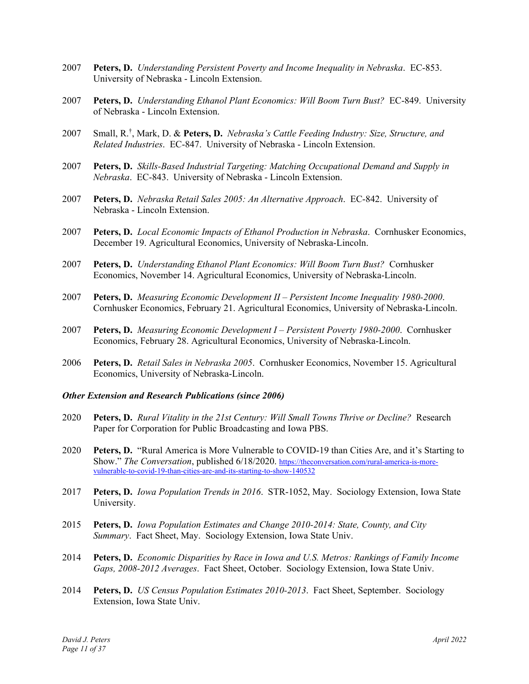- 2007 **Peters, D.** *Understanding Persistent Poverty and Income Inequality in Nebraska*. EC-853. University of Nebraska - Lincoln Extension.
- 2007 **Peters, D.** *Understanding Ethanol Plant Economics: Will Boom Turn Bust?* EC-849. University of Nebraska - Lincoln Extension.
- 2007 Small, R.† , Mark, D. & **Peters, D.** *Nebraska's Cattle Feeding Industry: Size, Structure, and Related Industries*. EC-847. University of Nebraska - Lincoln Extension.
- 2007 **Peters, D.** *Skills-Based Industrial Targeting: Matching Occupational Demand and Supply in Nebraska*. EC-843. University of Nebraska - Lincoln Extension.
- 2007 **Peters, D.** *Nebraska Retail Sales 2005: An Alternative Approach*. EC-842. University of Nebraska - Lincoln Extension.
- 2007 **Peters, D.** *Local Economic Impacts of Ethanol Production in Nebraska*. Cornhusker Economics, December 19. Agricultural Economics, University of Nebraska-Lincoln.
- 2007 **Peters, D.** *Understanding Ethanol Plant Economics: Will Boom Turn Bust?* Cornhusker Economics, November 14. Agricultural Economics, University of Nebraska-Lincoln.
- 2007 **Peters, D.** *Measuring Economic Development II Persistent Income Inequality 1980-2000*. Cornhusker Economics, February 21. Agricultural Economics, University of Nebraska-Lincoln.
- 2007 **Peters, D.** *Measuring Economic Development I Persistent Poverty 1980-2000*. Cornhusker Economics, February 28. Agricultural Economics, University of Nebraska-Lincoln.
- 2006 **Peters, D.** *Retail Sales in Nebraska 2005*. Cornhusker Economics, November 15. Agricultural Economics, University of Nebraska-Lincoln.

#### *Other Extension and Research Publications (since 2006)*

- 2020 **Peters, D.** *Rural Vitality in the 21st Century: Will Small Towns Thrive or Decline?* Research Paper for Corporation for Public Broadcasting and Iowa PBS.
- 2020 **Peters, D.** "Rural America is More Vulnerable to COVID-19 than Cities Are, and it's Starting to Show." *The Conversation*, published 6/18/2020. https://theconversation.com/rural-america-is-morevulnerable-to-covid-19-than-cities-are-and-its-starting-to-show-140532
- 2017 **Peters, D.** *Iowa Population Trends in 2016*. STR-1052, May. Sociology Extension, Iowa State University.
- 2015 **Peters, D.** *Iowa Population Estimates and Change 2010-2014: State, County, and City Summary*. Fact Sheet, May. Sociology Extension, Iowa State Univ.
- 2014 **Peters, D.** *Economic Disparities by Race in Iowa and U.S. Metros: Rankings of Family Income Gaps, 2008-2012 Averages*. Fact Sheet, October. Sociology Extension, Iowa State Univ.
- 2014 **Peters, D.** *US Census Population Estimates 2010-2013*. Fact Sheet, September. Sociology Extension, Iowa State Univ.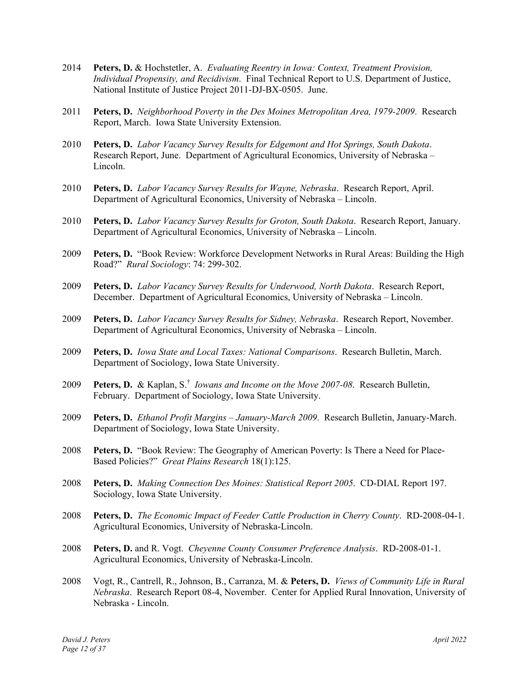- 2014 **Peters, D.** & Hochstetler, A. *Evaluating Reentry in Iowa: Context, Treatment Provision, Individual Propensity, and Recidivism*. Final Technical Report to U.S. Department of Justice, National Institute of Justice Project 2011-DJ-BX-0505. June.
- 2011 **Peters, D.** *Neighborhood Poverty in the Des Moines Metropolitan Area, 1979-2009*. Research Report, March. Iowa State University Extension.
- 2010 **Peters, D.** *Labor Vacancy Survey Results for Edgemont and Hot Springs, South Dakota*. Research Report, June. Department of Agricultural Economics, University of Nebraska – Lincoln.
- 2010 **Peters, D.** *Labor Vacancy Survey Results for Wayne, Nebraska*. Research Report, April. Department of Agricultural Economics, University of Nebraska – Lincoln.
- 2010 **Peters, D.** *Labor Vacancy Survey Results for Groton, South Dakota*. Research Report, January. Department of Agricultural Economics, University of Nebraska – Lincoln.
- 2009 **Peters, D.** "Book Review: Workforce Development Networks in Rural Areas: Building the High Road?" *Rural Sociology*: 74: 299-302.
- 2009 **Peters, D.** *Labor Vacancy Survey Results for Underwood, North Dakota*. Research Report, December. Department of Agricultural Economics, University of Nebraska – Lincoln.
- 2009 **Peters, D.** *Labor Vacancy Survey Results for Sidney, Nebraska*. Research Report, November. Department of Agricultural Economics, University of Nebraska – Lincoln.
- 2009 **Peters, D.** *Iowa State and Local Taxes: National Comparisons*. Research Bulletin, March. Department of Sociology, Iowa State University.
- 2009 **Peters, D.** & Kaplan, S.† *Iowans and Income on the Move 2007-08*. Research Bulletin, February. Department of Sociology, Iowa State University.
- 2009 **Peters, D.** *Ethanol Profit Margins January-March 2009*. Research Bulletin, January-March. Department of Sociology, Iowa State University.
- 2008 **Peters, D.** "Book Review: The Geography of American Poverty: Is There a Need for Place-Based Policies?" *Great Plains Research* 18(1):125.
- 2008 **Peters, D.** *Making Connection Des Moines: Statistical Report 2005*. CD-DIAL Report 197. Sociology, Iowa State University.
- 2008 **Peters, D.** *The Economic Impact of Feeder Cattle Production in Cherry County*. RD-2008-04-1. Agricultural Economics, University of Nebraska-Lincoln.
- 2008 **Peters, D.** and R. Vogt. *Cheyenne County Consumer Preference Analysis*. RD-2008-01-1. Agricultural Economics, University of Nebraska-Lincoln.
- 2008 Vogt, R., Cantrell, R., Johnson, B., Carranza, M. & **Peters, D.** *Views of Community Life in Rural Nebraska*. Research Report 08-4, November. Center for Applied Rural Innovation, University of Nebraska - Lincoln.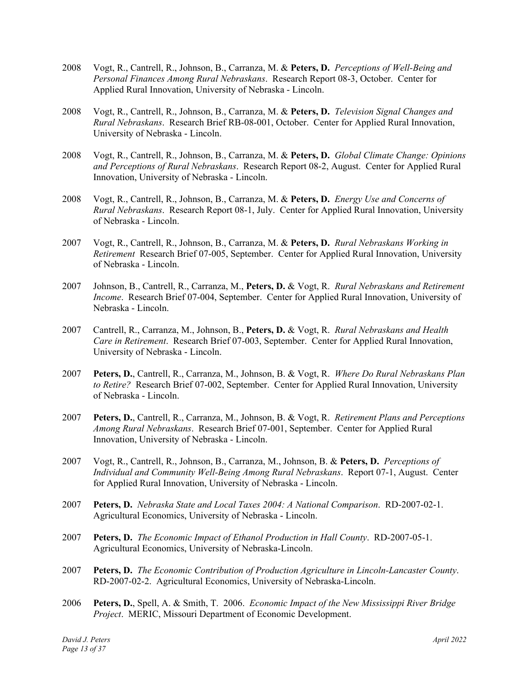- 2008 Vogt, R., Cantrell, R., Johnson, B., Carranza, M. & **Peters, D.** *Perceptions of Well-Being and Personal Finances Among Rural Nebraskans*. Research Report 08-3, October. Center for Applied Rural Innovation, University of Nebraska - Lincoln.
- 2008 Vogt, R., Cantrell, R., Johnson, B., Carranza, M. & **Peters, D.** *Television Signal Changes and Rural Nebraskans*. Research Brief RB-08-001, October. Center for Applied Rural Innovation, University of Nebraska - Lincoln.
- 2008 Vogt, R., Cantrell, R., Johnson, B., Carranza, M. & **Peters, D.** *Global Climate Change: Opinions and Perceptions of Rural Nebraskans*. Research Report 08-2, August. Center for Applied Rural Innovation, University of Nebraska - Lincoln.
- 2008 Vogt, R., Cantrell, R., Johnson, B., Carranza, M. & **Peters, D.** *Energy Use and Concerns of Rural Nebraskans*. Research Report 08-1, July. Center for Applied Rural Innovation, University of Nebraska - Lincoln.
- 2007 Vogt, R., Cantrell, R., Johnson, B., Carranza, M. & **Peters, D.** *Rural Nebraskans Working in Retirement* Research Brief 07-005, September. Center for Applied Rural Innovation, University of Nebraska - Lincoln.
- 2007 Johnson, B., Cantrell, R., Carranza, M., **Peters, D.** & Vogt, R. *Rural Nebraskans and Retirement Income*. Research Brief 07-004, September. Center for Applied Rural Innovation, University of Nebraska - Lincoln.
- 2007 Cantrell, R., Carranza, M., Johnson, B., **Peters, D.** & Vogt, R. *Rural Nebraskans and Health Care in Retirement*. Research Brief 07-003, September. Center for Applied Rural Innovation, University of Nebraska - Lincoln.
- 2007 **Peters, D.**, Cantrell, R., Carranza, M., Johnson, B. & Vogt, R. *Where Do Rural Nebraskans Plan to Retire?* Research Brief 07-002, September. Center for Applied Rural Innovation, University of Nebraska - Lincoln.
- 2007 **Peters, D.**, Cantrell, R., Carranza, M., Johnson, B. & Vogt, R. *Retirement Plans and Perceptions Among Rural Nebraskans*. Research Brief 07-001, September. Center for Applied Rural Innovation, University of Nebraska - Lincoln.
- 2007 Vogt, R., Cantrell, R., Johnson, B., Carranza, M., Johnson, B. & **Peters, D.** *Perceptions of Individual and Community Well-Being Among Rural Nebraskans*. Report 07-1, August. Center for Applied Rural Innovation, University of Nebraska - Lincoln.
- 2007 **Peters, D.** *Nebraska State and Local Taxes 2004: A National Comparison*. RD-2007-02-1. Agricultural Economics, University of Nebraska - Lincoln.
- 2007 **Peters, D.** *The Economic Impact of Ethanol Production in Hall County*. RD-2007-05-1. Agricultural Economics, University of Nebraska-Lincoln.
- 2007 **Peters, D.** *The Economic Contribution of Production Agriculture in Lincoln-Lancaster County*. RD-2007-02-2. Agricultural Economics, University of Nebraska-Lincoln.
- 2006 **Peters, D.**, Spell, A. & Smith, T. 2006. *Economic Impact of the New Mississippi River Bridge Project*. MERIC, Missouri Department of Economic Development.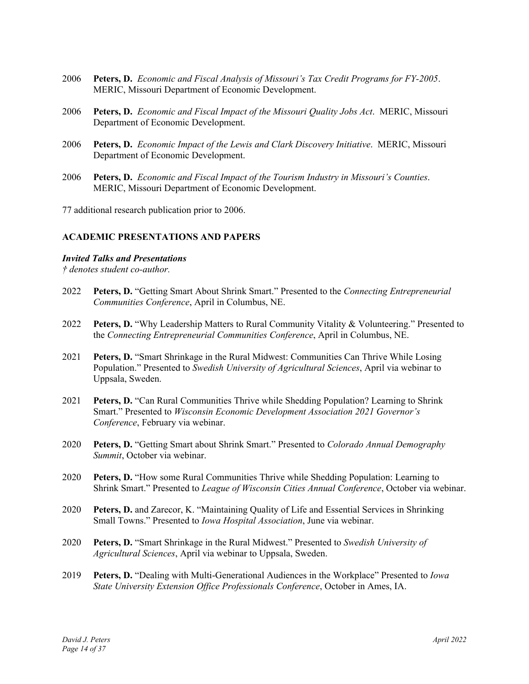- 2006 **Peters, D.** *Economic and Fiscal Analysis of Missouri's Tax Credit Programs for FY-2005*. MERIC, Missouri Department of Economic Development.
- 2006 **Peters, D.** *Economic and Fiscal Impact of the Missouri Quality Jobs Act*. MERIC, Missouri Department of Economic Development.
- 2006 **Peters, D.** *Economic Impact of the Lewis and Clark Discovery Initiative*. MERIC, Missouri Department of Economic Development.
- 2006 **Peters, D.** *Economic and Fiscal Impact of the Tourism Industry in Missouri's Counties*. MERIC, Missouri Department of Economic Development.

77 additional research publication prior to 2006.

#### **ACADEMIC PRESENTATIONS AND PAPERS**

#### *Invited Talks and Presentations*

*† denotes student co-author.*

- 2022 **Peters, D.** "Getting Smart About Shrink Smart." Presented to the *Connecting Entrepreneurial Communities Conference*, April in Columbus, NE.
- 2022 **Peters, D.** "Why Leadership Matters to Rural Community Vitality & Volunteering." Presented to the *Connecting Entrepreneurial Communities Conference*, April in Columbus, NE.
- 2021 **Peters, D.** "Smart Shrinkage in the Rural Midwest: Communities Can Thrive While Losing Population." Presented to *Swedish University of Agricultural Sciences*, April via webinar to Uppsala, Sweden.
- 2021 **Peters, D.** "Can Rural Communities Thrive while Shedding Population? Learning to Shrink Smart." Presented to *Wisconsin Economic Development Association 2021 Governor's Conference*, February via webinar.
- 2020 **Peters, D.** "Getting Smart about Shrink Smart." Presented to *Colorado Annual Demography Summit*, October via webinar.
- 2020 **Peters, D.** "How some Rural Communities Thrive while Shedding Population: Learning to Shrink Smart." Presented to *League of Wisconsin Cities Annual Conference*, October via webinar.
- 2020 **Peters, D.** and Zarecor, K. "Maintaining Quality of Life and Essential Services in Shrinking Small Towns." Presented to *Iowa Hospital Association*, June via webinar.
- 2020 **Peters, D.** "Smart Shrinkage in the Rural Midwest." Presented to *Swedish University of Agricultural Sciences*, April via webinar to Uppsala, Sweden.
- 2019 **Peters, D.** "Dealing with Multi-Generational Audiences in the Workplace" Presented to *Iowa State University Extension Office Professionals Conference*, October in Ames, IA.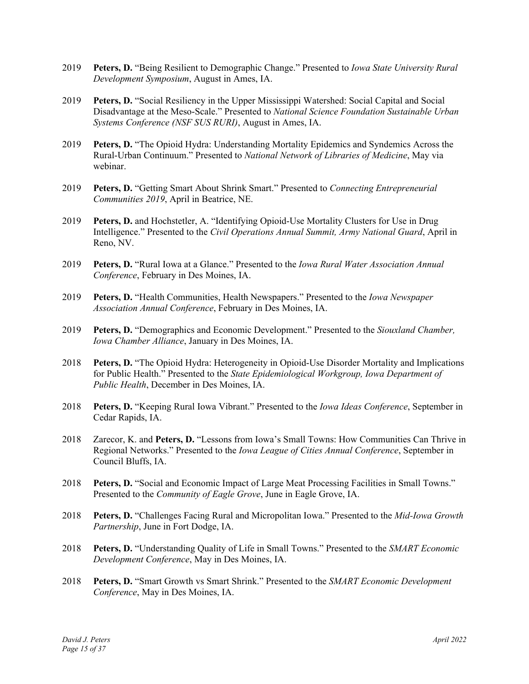- 2019 **Peters, D.** "Being Resilient to Demographic Change." Presented to *Iowa State University Rural Development Symposium*, August in Ames, IA.
- 2019 **Peters, D.** "Social Resiliency in the Upper Mississippi Watershed: Social Capital and Social Disadvantage at the Meso-Scale." Presented to *National Science Foundation Sustainable Urban Systems Conference (NSF SUS RURI)*, August in Ames, IA.
- 2019 **Peters, D.** "The Opioid Hydra: Understanding Mortality Epidemics and Syndemics Across the Rural-Urban Continuum." Presented to *National Network of Libraries of Medicine*, May via webinar.
- 2019 **Peters, D.** "Getting Smart About Shrink Smart." Presented to *Connecting Entrepreneurial Communities 2019*, April in Beatrice, NE.
- 2019 **Peters, D.** and Hochstetler, A. "Identifying Opioid-Use Mortality Clusters for Use in Drug Intelligence." Presented to the *Civil Operations Annual Summit, Army National Guard*, April in Reno, NV.
- 2019 **Peters, D.** "Rural Iowa at a Glance." Presented to the *Iowa Rural Water Association Annual Conference*, February in Des Moines, IA.
- 2019 **Peters, D.** "Health Communities, Health Newspapers." Presented to the *Iowa Newspaper Association Annual Conference*, February in Des Moines, IA.
- 2019 **Peters, D.** "Demographics and Economic Development." Presented to the *Siouxland Chamber, Iowa Chamber Alliance*, January in Des Moines, IA.
- 2018 **Peters, D.** "The Opioid Hydra: Heterogeneity in Opioid-Use Disorder Mortality and Implications for Public Health." Presented to the *State Epidemiological Workgroup, Iowa Department of Public Health*, December in Des Moines, IA.
- 2018 **Peters, D.** "Keeping Rural Iowa Vibrant." Presented to the *Iowa Ideas Conference*, September in Cedar Rapids, IA.
- 2018 Zarecor, K. and **Peters, D.** "Lessons from Iowa's Small Towns: How Communities Can Thrive in Regional Networks." Presented to the *Iowa League of Cities Annual Conference*, September in Council Bluffs, IA.
- 2018 **Peters, D.** "Social and Economic Impact of Large Meat Processing Facilities in Small Towns." Presented to the *Community of Eagle Grove*, June in Eagle Grove, IA.
- 2018 **Peters, D.** "Challenges Facing Rural and Micropolitan Iowa." Presented to the *Mid-Iowa Growth Partnership*, June in Fort Dodge, IA.
- 2018 **Peters, D.** "Understanding Quality of Life in Small Towns." Presented to the *SMART Economic Development Conference*, May in Des Moines, IA.
- 2018 **Peters, D.** "Smart Growth vs Smart Shrink." Presented to the *SMART Economic Development Conference*, May in Des Moines, IA.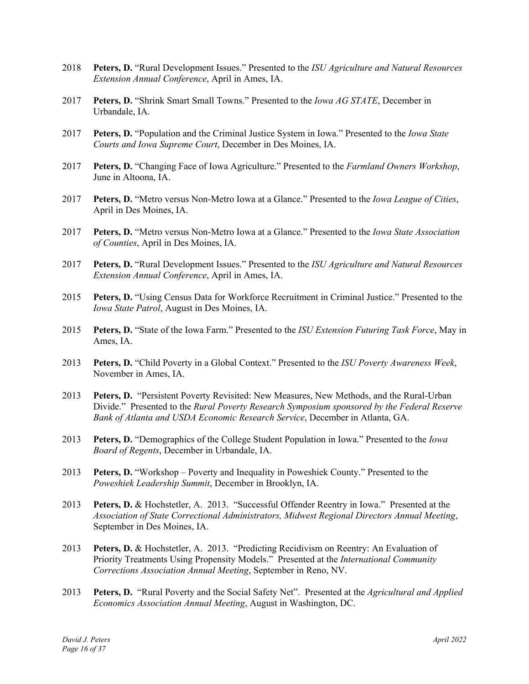- 2018 **Peters, D.** "Rural Development Issues." Presented to the *ISU Agriculture and Natural Resources Extension Annual Conference*, April in Ames, IA.
- 2017 **Peters, D.** "Shrink Smart Small Towns." Presented to the *Iowa AG STATE*, December in Urbandale, IA.
- 2017 **Peters, D.** "Population and the Criminal Justice System in Iowa." Presented to the *Iowa State Courts and Iowa Supreme Court*, December in Des Moines, IA.
- 2017 **Peters, D.** "Changing Face of Iowa Agriculture." Presented to the *Farmland Owners Workshop*, June in Altoona, IA.
- 2017 **Peters, D.** "Metro versus Non-Metro Iowa at a Glance." Presented to the *Iowa League of Cities*, April in Des Moines, IA.
- 2017 **Peters, D.** "Metro versus Non-Metro Iowa at a Glance." Presented to the *Iowa State Association of Counties*, April in Des Moines, IA.
- 2017 **Peters, D.** "Rural Development Issues." Presented to the *ISU Agriculture and Natural Resources Extension Annual Conference*, April in Ames, IA.
- 2015 **Peters, D.** "Using Census Data for Workforce Recruitment in Criminal Justice." Presented to the *Iowa State Patrol*, August in Des Moines, IA.
- 2015 **Peters, D.** "State of the Iowa Farm." Presented to the *ISU Extension Futuring Task Force*, May in Ames, IA.
- 2013 **Peters, D.** "Child Poverty in a Global Context." Presented to the *ISU Poverty Awareness Week*, November in Ames, IA.
- 2013 **Peters, D.** "Persistent Poverty Revisited: New Measures, New Methods, and the Rural-Urban Divide." Presented to the *Rural Poverty Research Symposium sponsored by the Federal Reserve Bank of Atlanta and USDA Economic Research Service*, December in Atlanta, GA.
- 2013 **Peters, D.** "Demographics of the College Student Population in Iowa." Presented to the *Iowa Board of Regents*, December in Urbandale, IA.
- 2013 **Peters, D.** "Workshop Poverty and Inequality in Poweshiek County." Presented to the *Poweshiek Leadership Summit*, December in Brooklyn, IA.
- 2013 **Peters, D.** & Hochstetler, A. 2013. "Successful Offender Reentry in Iowa." Presented at the *Association of State Correctional Administrators, Midwest Regional Directors Annual Meeting*, September in Des Moines, IA.
- 2013 **Peters, D.** & Hochstetler, A. 2013. "Predicting Recidivism on Reentry: An Evaluation of Priority Treatments Using Propensity Models." Presented at the *International Community Corrections Association Annual Meeting*, September in Reno, NV.
- 2013 **Peters, D.** "Rural Poverty and the Social Safety Net". Presented at the *Agricultural and Applied Economics Association Annual Meeting*, August in Washington, DC.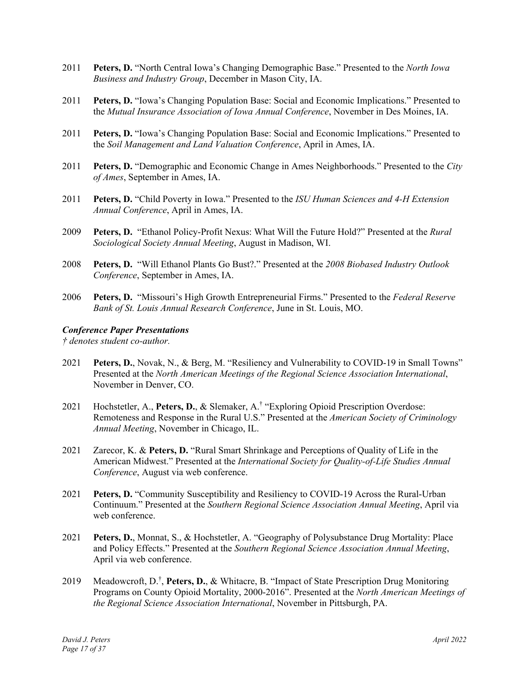- 2011 **Peters, D.** "North Central Iowa's Changing Demographic Base." Presented to the *North Iowa Business and Industry Group*, December in Mason City, IA.
- 2011 **Peters, D.** "Iowa's Changing Population Base: Social and Economic Implications." Presented to the *Mutual Insurance Association of Iowa Annual Conference*, November in Des Moines, IA.
- 2011 **Peters, D.** "Iowa's Changing Population Base: Social and Economic Implications." Presented to the *Soil Management and Land Valuation Conference*, April in Ames, IA.
- 2011 **Peters, D.** "Demographic and Economic Change in Ames Neighborhoods." Presented to the *City of Ames*, September in Ames, IA.
- 2011 **Peters, D.** "Child Poverty in Iowa." Presented to the *ISU Human Sciences and 4-H Extension Annual Conference*, April in Ames, IA.
- 2009 **Peters, D.** "Ethanol Policy-Profit Nexus: What Will the Future Hold?" Presented at the *Rural Sociological Society Annual Meeting*, August in Madison, WI.
- 2008 **Peters, D.** "Will Ethanol Plants Go Bust?." Presented at the *2008 Biobased Industry Outlook Conference*, September in Ames, IA.
- 2006 **Peters, D.** "Missouri's High Growth Entrepreneurial Firms." Presented to the *Federal Reserve Bank of St. Louis Annual Research Conference*, June in St. Louis, MO.

#### *Conference Paper Presentations*

*† denotes student co-author.*

- 2021 **Peters, D.**, Novak, N., & Berg, M. "Resiliency and Vulnerability to COVID-19 in Small Towns" Presented at the *North American Meetings of the Regional Science Association International*, November in Denver, CO.
- 2021 Hochstetler, A., **Peters, D.**, & Slemaker, A.† "Exploring Opioid Prescription Overdose: Remoteness and Response in the Rural U.S." Presented at the *American Society of Criminology Annual Meeting*, November in Chicago, IL.
- 2021 Zarecor, K. & **Peters, D.** "Rural Smart Shrinkage and Perceptions of Quality of Life in the American Midwest." Presented at the *International Society for Quality-of-Life Studies Annual Conference*, August via web conference.
- 2021 **Peters, D.** "Community Susceptibility and Resiliency to COVID-19 Across the Rural-Urban Continuum." Presented at the *Southern Regional Science Association Annual Meeting*, April via web conference.
- 2021 **Peters, D.**, Monnat, S., & Hochstetler, A. "Geography of Polysubstance Drug Mortality: Place and Policy Effects." Presented at the *Southern Regional Science Association Annual Meeting*, April via web conference.
- 2019 Meadowcroft, D.† , **Peters, D.**, & Whitacre, B. "Impact of State Prescription Drug Monitoring Programs on County Opioid Mortality, 2000-2016". Presented at the *North American Meetings of the Regional Science Association International*, November in Pittsburgh, PA.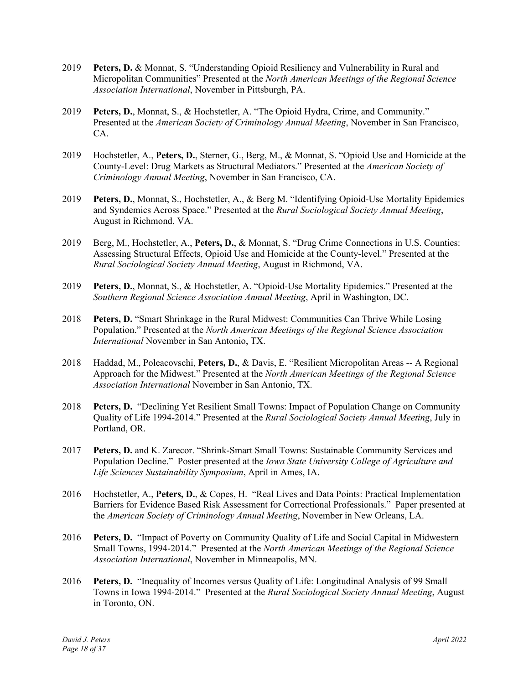- 2019 **Peters, D.** & Monnat, S. "Understanding Opioid Resiliency and Vulnerability in Rural and Micropolitan Communities" Presented at the *North American Meetings of the Regional Science Association International*, November in Pittsburgh, PA.
- 2019 **Peters, D.**, Monnat, S., & Hochstetler, A. "The Opioid Hydra, Crime, and Community." Presented at the *American Society of Criminology Annual Meeting*, November in San Francisco, CA.
- 2019 Hochstetler, A., **Peters, D.**, Sterner, G., Berg, M., & Monnat, S. "Opioid Use and Homicide at the County-Level: Drug Markets as Structural Mediators." Presented at the *American Society of Criminology Annual Meeting*, November in San Francisco, CA.
- 2019 **Peters, D.**, Monnat, S., Hochstetler, A., & Berg M. "Identifying Opioid-Use Mortality Epidemics and Syndemics Across Space." Presented at the *Rural Sociological Society Annual Meeting*, August in Richmond, VA.
- 2019 Berg, M., Hochstetler, A., **Peters, D.**, & Monnat, S. "Drug Crime Connections in U.S. Counties: Assessing Structural Effects, Opioid Use and Homicide at the County-level." Presented at the *Rural Sociological Society Annual Meeting*, August in Richmond, VA.
- 2019 **Peters, D.**, Monnat, S., & Hochstetler, A. "Opioid-Use Mortality Epidemics." Presented at the *Southern Regional Science Association Annual Meeting*, April in Washington, DC.
- 2018 **Peters, D.** "Smart Shrinkage in the Rural Midwest: Communities Can Thrive While Losing Population." Presented at the *North American Meetings of the Regional Science Association International* November in San Antonio, TX.
- 2018 Haddad, M., Poleacovschi, **Peters, D.**, & Davis, E. "Resilient Micropolitan Areas -- A Regional Approach for the Midwest." Presented at the *North American Meetings of the Regional Science Association International* November in San Antonio, TX.
- 2018 **Peters, D.** "Declining Yet Resilient Small Towns: Impact of Population Change on Community Quality of Life 1994-2014." Presented at the *Rural Sociological Society Annual Meeting*, July in Portland, OR.
- 2017 **Peters, D.** and K. Zarecor. "Shrink-Smart Small Towns: Sustainable Community Services and Population Decline." Poster presented at the *Iowa State University College of Agriculture and Life Sciences Sustainability Symposium*, April in Ames, IA.
- 2016 Hochstetler, A., **Peters, D.**, & Copes, H. "Real Lives and Data Points: Practical Implementation Barriers for Evidence Based Risk Assessment for Correctional Professionals." Paper presented at the *American Society of Criminology Annual Meeting*, November in New Orleans, LA.
- 2016 **Peters, D.** "Impact of Poverty on Community Quality of Life and Social Capital in Midwestern Small Towns, 1994-2014." Presented at the *North American Meetings of the Regional Science Association International*, November in Minneapolis, MN.
- 2016 **Peters, D.** "Inequality of Incomes versus Quality of Life: Longitudinal Analysis of 99 Small Towns in Iowa 1994-2014." Presented at the *Rural Sociological Society Annual Meeting*, August in Toronto, ON.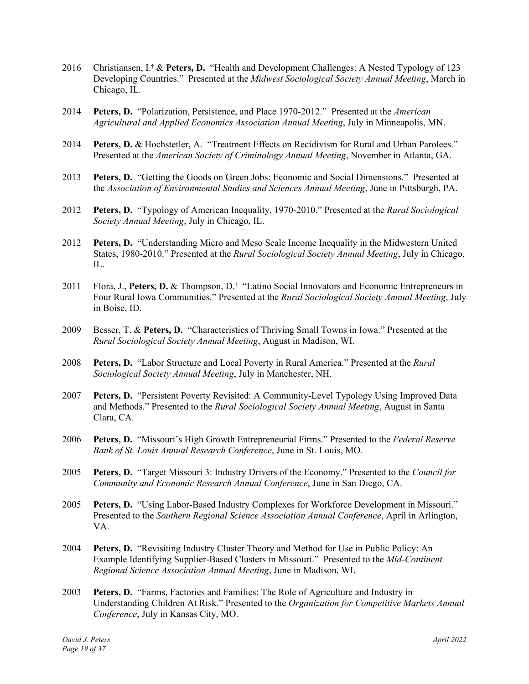- 2016 Christiansen, I.† & **Peters, D.** "Health and Development Challenges: A Nested Typology of 123 Developing Countries." Presented at the *Midwest Sociological Society Annual Meeting*, March in Chicago, IL.
- 2014 **Peters, D.** "Polarization, Persistence, and Place 1970-2012." Presented at the *American Agricultural and Applied Economics Association Annual Meeting*, July in Minneapolis, MN.
- 2014 **Peters, D.** & Hochstetler, A. "Treatment Effects on Recidivism for Rural and Urban Parolees." Presented at the *American Society of Criminology Annual Meeting*, November in Atlanta, GA.
- 2013 **Peters, D.** "Getting the Goods on Green Jobs: Economic and Social Dimensions." Presented at the *Association of Environmental Studies and Sciences Annual Meeting*, June in Pittsburgh, PA.
- 2012 **Peters, D.** "Typology of American Inequality, 1970-2010." Presented at the *Rural Sociological Society Annual Meeting*, July in Chicago, IL.
- 2012 **Peters, D.** "Understanding Micro and Meso Scale Income Inequality in the Midwestern United States, 1980-2010." Presented at the *Rural Sociological Society Annual Meeting*, July in Chicago, IL.
- 2011 Flora, J., **Peters, D.** & Thompson, D.† "Latino Social Innovators and Economic Entrepreneurs in Four Rural Iowa Communities." Presented at the *Rural Sociological Society Annual Meeting*, July in Boise, ID.
- 2009 Besser, T. & **Peters, D.** "Characteristics of Thriving Small Towns in Iowa." Presented at the *Rural Sociological Society Annual Meeting*, August in Madison, WI.
- 2008 **Peters, D.** "Labor Structure and Local Poverty in Rural America." Presented at the *Rural Sociological Society Annual Meeting*, July in Manchester, NH.
- 2007 **Peters, D.** "Persistent Poverty Revisited: A Community-Level Typology Using Improved Data and Methods." Presented to the *Rural Sociological Society Annual Meeting*, August in Santa Clara, CA.
- 2006 **Peters, D.** "Missouri's High Growth Entrepreneurial Firms." Presented to the *Federal Reserve Bank of St. Louis Annual Research Conference*, June in St. Louis, MO.
- 2005 **Peters, D.** "Target Missouri 3: Industry Drivers of the Economy." Presented to the *Council for Community and Economic Research Annual Conference*, June in San Diego, CA.
- 2005 **Peters, D.** "Using Labor-Based Industry Complexes for Workforce Development in Missouri." Presented to the *Southern Regional Science Association Annual Conference*, April in Arlington, VA.
- 2004 **Peters, D.** "Revisiting Industry Cluster Theory and Method for Use in Public Policy: An Example Identifying Supplier-Based Clusters in Missouri." Presented to the *Mid-Continent Regional Science Association Annual Meeting*, June in Madison, WI.
- 2003 **Peters, D.** "Farms, Factories and Families: The Role of Agriculture and Industry in Understanding Children At Risk." Presented to the *Organization for Competitive Markets Annual Conference*, July in Kansas City, MO.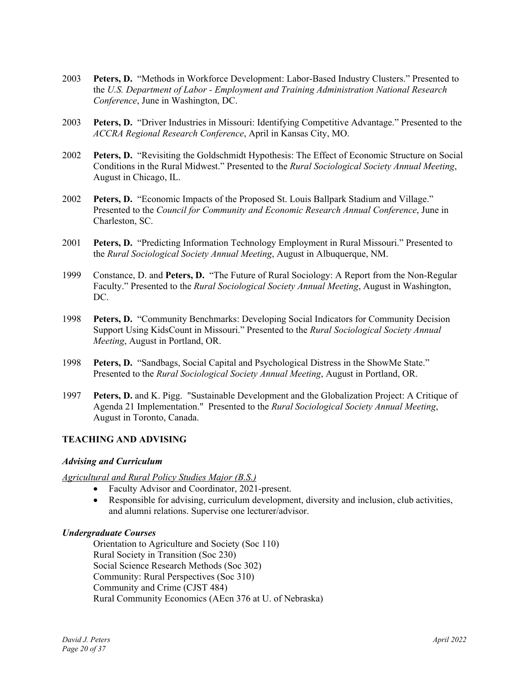- 2003 **Peters, D.** "Methods in Workforce Development: Labor-Based Industry Clusters." Presented to the *U.S. Department of Labor - Employment and Training Administration National Research Conference*, June in Washington, DC.
- 2003 **Peters, D.** "Driver Industries in Missouri: Identifying Competitive Advantage." Presented to the *ACCRA Regional Research Conference*, April in Kansas City, MO.
- 2002 **Peters, D.** "Revisiting the Goldschmidt Hypothesis: The Effect of Economic Structure on Social Conditions in the Rural Midwest." Presented to the *Rural Sociological Society Annual Meeting*, August in Chicago, IL.
- 2002 **Peters, D.** "Economic Impacts of the Proposed St. Louis Ballpark Stadium and Village." Presented to the *Council for Community and Economic Research Annual Conference*, June in Charleston, SC.
- 2001 **Peters, D.** "Predicting Information Technology Employment in Rural Missouri." Presented to the *Rural Sociological Society Annual Meeting*, August in Albuquerque, NM.
- 1999 Constance, D. and **Peters, D.** "The Future of Rural Sociology: A Report from the Non-Regular Faculty." Presented to the *Rural Sociological Society Annual Meeting*, August in Washington, DC.
- 1998 **Peters, D.** "Community Benchmarks: Developing Social Indicators for Community Decision Support Using KidsCount in Missouri." Presented to the *Rural Sociological Society Annual Meeting*, August in Portland, OR.
- 1998 **Peters, D.** "Sandbags, Social Capital and Psychological Distress in the ShowMe State." Presented to the *Rural Sociological Society Annual Meeting*, August in Portland, OR.
- 1997 **Peters, D.** and K. Pigg. "Sustainable Development and the Globalization Project: A Critique of Agenda 21 Implementation." Presented to the *Rural Sociological Society Annual Meeting*, August in Toronto, Canada.

# **TEACHING AND ADVISING**

# *Advising and Curriculum*

# *Agricultural and Rural Policy Studies Major (B.S.)*

- Faculty Advisor and Coordinator, 2021-present.
- Responsible for advising, curriculum development, diversity and inclusion, club activities, and alumni relations. Supervise one lecturer/advisor.

# *Undergraduate Courses*

Orientation to Agriculture and Society (Soc 110) Rural Society in Transition (Soc 230) Social Science Research Methods (Soc 302) Community: Rural Perspectives (Soc 310) Community and Crime (CJST 484) Rural Community Economics (AEcn 376 at U. of Nebraska)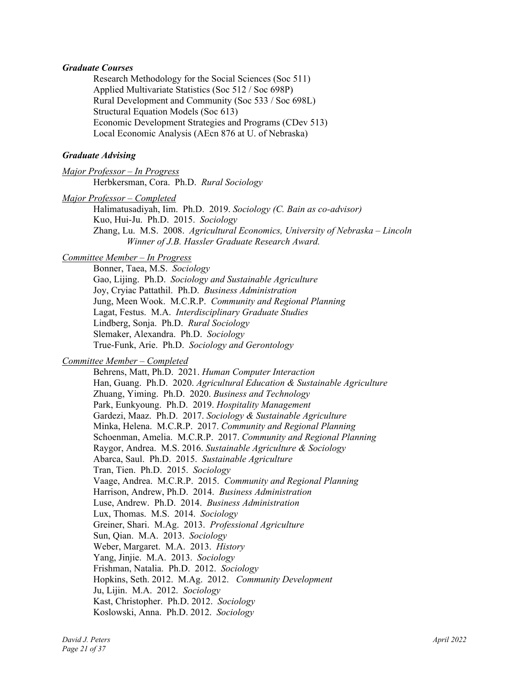#### *Graduate Courses*

Research Methodology for the Social Sciences (Soc 511) Applied Multivariate Statistics (Soc 512 / Soc 698P) Rural Development and Community (Soc 533 / Soc 698L) Structural Equation Models (Soc 613) Economic Development Strategies and Programs (CDev 513) Local Economic Analysis (AEcn 876 at U. of Nebraska)

### *Graduate Advising*

*Major Professor – In Progress*  Herbkersman, Cora. Ph.D. *Rural Sociology* 

*Major Professor – Completed* 

Halimatusadiyah, Iim. Ph.D. 2019. *Sociology (C. Bain as co-advisor)* Kuo, Hui-Ju. Ph.D. 2015. *Sociology*  Zhang, Lu. M.S. 2008. *Agricultural Economics, University of Nebraska – Lincoln Winner of J.B. Hassler Graduate Research Award.* 

# *Committee Member – In Progress*

Bonner, Taea, M.S. *Sociology* Gao, Lijing. Ph.D. *Sociology and Sustainable Agriculture* Joy, Cryiac Pattathil. Ph.D. *Business Administration*  Jung, Meen Wook. M.C.R.P. *Community and Regional Planning*  Lagat, Festus. M.A. *Interdisciplinary Graduate Studies* Lindberg, Sonja. Ph.D. *Rural Sociology* Slemaker, Alexandra. Ph.D. *Sociology* True-Funk, Arie. Ph.D. *Sociology and Gerontology*

# *Committee Member – Completed*

Behrens, Matt, Ph.D. 2021. *Human Computer Interaction* Han, Guang. Ph.D. 2020. *Agricultural Education & Sustainable Agriculture*  Zhuang, Yiming. Ph.D. 2020. *Business and Technology*  Park, Eunkyoung. Ph.D. 2019. *Hospitality Management*  Gardezi, Maaz. Ph.D. 2017. *Sociology & Sustainable Agriculture*  Minka, Helena. M.C.R.P. 2017. *Community and Regional Planning*  Schoenman, Amelia. M.C.R.P. 2017. *Community and Regional Planning* Raygor, Andrea. M.S. 2016. *Sustainable Agriculture & Sociology* Abarca, Saul. Ph.D. 2015. *Sustainable Agriculture* Tran, Tien. Ph.D. 2015. *Sociology* Vaage, Andrea. M.C.R.P. 2015. *Community and Regional Planning*  Harrison, Andrew, Ph.D. 2014. *Business Administration* Luse, Andrew. Ph.D. 2014. *Business Administration* Lux, Thomas. M.S. 2014. *Sociology*  Greiner, Shari. M.Ag. 2013. *Professional Agriculture* Sun, Qian. M.A. 2013. *Sociology* Weber, Margaret. M.A. 2013. *History* Yang, Jinjie. M.A. 2013. *Sociology* Frishman, Natalia. Ph.D. 2012. *Sociology* Hopkins, Seth. 2012. M.Ag. 2012. *Community Development* Ju, Lijin. M.A. 2012. *Sociology* Kast, Christopher. Ph.D. 2012. *Sociology* Koslowski, Anna. Ph.D. 2012. *Sociology*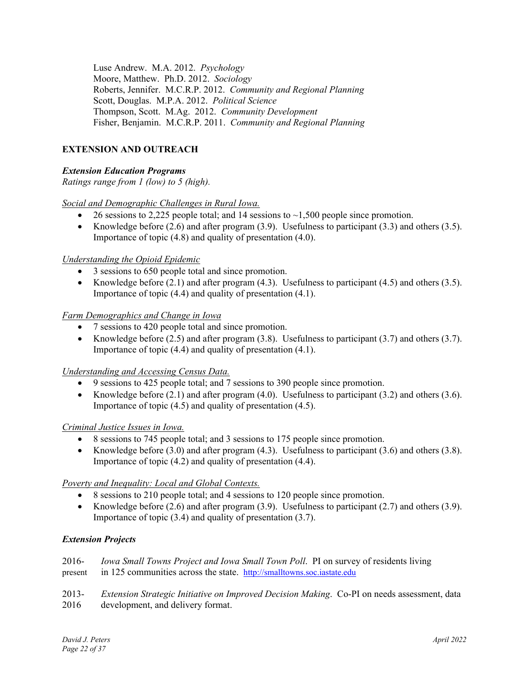Luse Andrew. M.A. 2012. *Psychology*  Moore, Matthew. Ph.D. 2012. *Sociology*  Roberts, Jennifer. M.C.R.P. 2012. *Community and Regional Planning*  Scott, Douglas. M.P.A. 2012. *Political Science*  Thompson, Scott. M.Ag. 2012. *Community Development* Fisher, Benjamin. M.C.R.P. 2011. *Community and Regional Planning*

# **EXTENSION AND OUTREACH**

# *Extension Education Programs*

*Ratings range from 1 (low) to 5 (high).*

# *Social and Demographic Challenges in Rural Iowa.*

- $\bullet$  26 sessions to 2,225 people total; and 14 sessions to  $\sim$ 1,500 people since promotion.
- Knowledge before (2.6) and after program (3.9). Usefulness to participant (3.3) and others (3.5). Importance of topic (4.8) and quality of presentation (4.0).

### *Understanding the Opioid Epidemic*

- 3 sessions to 650 people total and since promotion.
- Knowledge before  $(2.1)$  and after program  $(4.3)$ . Usefulness to participant  $(4.5)$  and others  $(3.5)$ . Importance of topic (4.4) and quality of presentation (4.1).

### *Farm Demographics and Change in Iowa*

- 7 sessions to 420 people total and since promotion.
- Knowledge before  $(2.5)$  and after program  $(3.8)$ . Usefulness to participant  $(3.7)$  and others  $(3.7)$ . Importance of topic (4.4) and quality of presentation (4.1).

# *Understanding and Accessing Census Data.*

- 9 sessions to 425 people total; and 7 sessions to 390 people since promotion.
- Knowledge before  $(2.1)$  and after program  $(4.0)$ . Usefulness to participant  $(3.2)$  and others  $(3.6)$ . Importance of topic (4.5) and quality of presentation (4.5).

#### *Criminal Justice Issues in Iowa.*

- 8 sessions to 745 people total; and 3 sessions to 175 people since promotion.
- Knowledge before  $(3.0)$  and after program  $(4.3)$ . Usefulness to participant  $(3.6)$  and others  $(3.8)$ . Importance of topic (4.2) and quality of presentation (4.4).

# *Poverty and Inequality: Local and Global Contexts.*

- 8 sessions to 210 people total; and 4 sessions to 120 people since promotion.
- Knowledge before  $(2.6)$  and after program  $(3.9)$ . Usefulness to participant  $(2.7)$  and others  $(3.9)$ . Importance of topic (3.4) and quality of presentation (3.7).

#### *Extension Projects*

| $2016-$ | <i>Iowa Small Towns Project and Iowa Small Town Poll.</i> PI on survey of residents living |
|---------|--------------------------------------------------------------------------------------------|
|         | present in 125 communities across the state. http://smalltowns.soc.iastate.edu             |
|         |                                                                                            |

2013- *Extension Strategic Initiative on Improved Decision Making*. Co-PI on needs assessment, data 2016 development, and delivery format.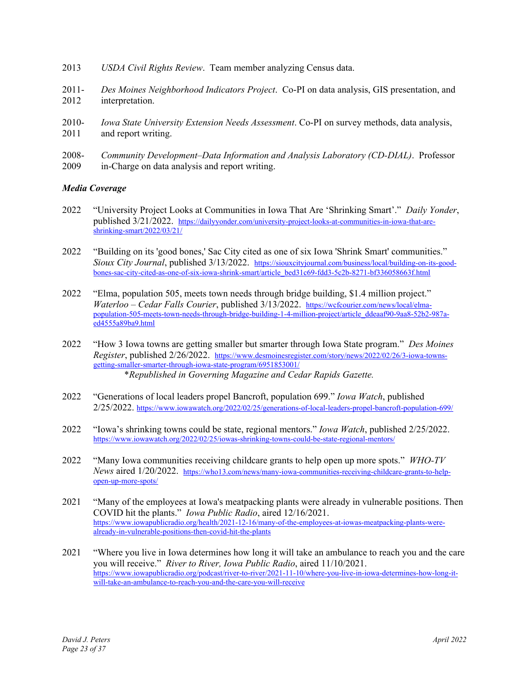- 2013 *USDA Civil Rights Review*. Team member analyzing Census data.
- 2011- *Des Moines Neighborhood Indicators Project*. Co-PI on data analysis, GIS presentation, and 2012 interpretation.
- 2010- *Iowa State University Extension Needs Assessment*. Co-PI on survey methods, data analysis, 2011 and report writing.
- 2008- *Community Development–Data Information and Analysis Laboratory (CD-DIAL)*. Professor 2009 in-Charge on data analysis and report writing.

### *Media Coverage*

- 2022 "University Project Looks at Communities in Iowa That Are 'Shrinking Smart'." *Daily Yonder*, published 3/21/2022. https://dailyyonder.com/university-project-looks-at-communities-in-iowa-that-areshrinking-smart/2022/03/21/
- 2022 "Building on its 'good bones,' Sac City cited as one of six Iowa 'Shrink Smart' communities." *Sioux City Journal*, published 3/13/2022. https://siouxcityjournal.com/business/local/building-on-its-goodbones-sac-city-cited-as-one-of-six-iowa-shrink-smart/article\_bed31c69-fdd3-5c2b-8271-bf336058663f.html
- 2022 "Elma, population 505, meets town needs through bridge building, \$1.4 million project." *Waterloo – Cedar Falls Courier*, published 3/13/2022. https://wcfcourier.com/news/local/elmapopulation-505-meets-town-needs-through-bridge-building-1-4-million-project/article\_ddeaaf90-9aa8-52b2-987aed4555a89ba9.html
- 2022 "How 3 Iowa towns are getting smaller but smarter through Iowa State program." *Des Moines Register*, published 2/26/2022. https://www.desmoinesregister.com/story/news/2022/02/26/3-iowa-townsgetting-smaller-smarter-through-iowa-state-program/6951853001/ \**Republished in Governing Magazine and Cedar Rapids Gazette.*
- 2022 "Generations of local leaders propel Bancroft, population 699." *Iowa Watch*, published 2/25/2022. https://www.iowawatch.org/2022/02/25/generations-of-local-leaders-propel-bancroft-population-699/
- 2022 "Iowa's shrinking towns could be state, regional mentors." *Iowa Watch*, published 2/25/2022. https://www.iowawatch.org/2022/02/25/iowas-shrinking-towns-could-be-state-regional-mentors/
- 2022 "Many Iowa communities receiving childcare grants to help open up more spots." *WHO-TV News* aired 1/20/2022. https://who13.com/news/many-iowa-communities-receiving-childcare-grants-to-helpopen-up-more-spots/
- 2021 "Many of the employees at Iowa's meatpacking plants were already in vulnerable positions. Then COVID hit the plants." *Iowa Public Radio*, aired 12/16/2021. https://www.iowapublicradio.org/health/2021-12-16/many-of-the-employees-at-iowas-meatpacking-plants-werealready-in-vulnerable-positions-then-covid-hit-the-plants
- 2021 "Where you live in Iowa determines how long it will take an ambulance to reach you and the care you will receive." *River to River, Iowa Public Radio*, aired 11/10/2021. https://www.iowapublicradio.org/podcast/river-to-river/2021-11-10/where-you-live-in-iowa-determines-how-long-itwill-take-an-ambulance-to-reach-you-and-the-care-you-will-receive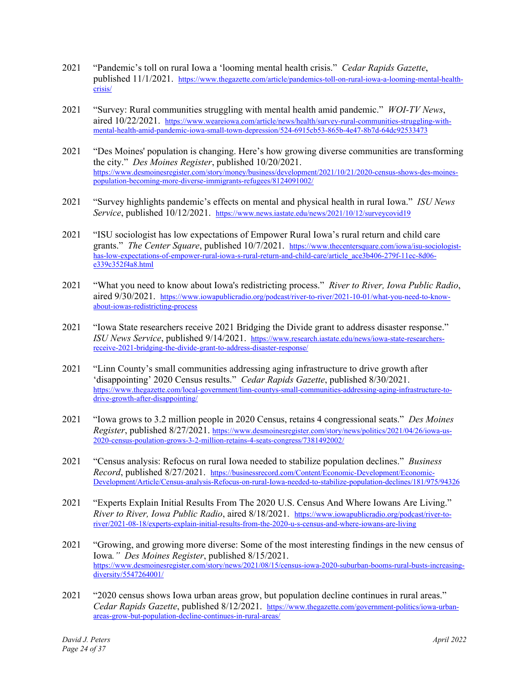- 2021 "Pandemic's toll on rural Iowa a 'looming mental health crisis." *Cedar Rapids Gazette*, published 11/1/2021. https://www.thegazette.com/article/pandemics-toll-on-rural-iowa-a-looming-mental-healthcrisis/
- 2021 "Survey: Rural communities struggling with mental health amid pandemic." *WOI-TV News*, aired 10/22/2021. https://www.weareiowa.com/article/news/health/survey-rural-communities-struggling-withmental-health-amid-pandemic-iowa-small-town-depression/524-6915cb53-865b-4e47-8b7d-64dc92533473
- 2021 "Des Moines' population is changing. Here's how growing diverse communities are transforming the city." *Des Moines Register*, published 10/20/2021. https://www.desmoinesregister.com/story/money/business/development/2021/10/21/2020-census-shows-des-moinespopulation-becoming-more-diverse-immigrants-refugees/8124091002/
- 2021 "Survey highlights pandemic's effects on mental and physical health in rural Iowa." *ISU News Service*, published 10/12/2021. https://www.news.iastate.edu/news/2021/10/12/surveycovid19
- 2021 "ISU sociologist has low expectations of Empower Rural Iowa's rural return and child care grants." *The Center Square*, published 10/7/2021. https://www.thecentersquare.com/iowa/isu-sociologisthas-low-expectations-of-empower-rural-iowa-s-rural-return-and-child-care/article\_ace3b406-279f-11ec-8d06 $e^{339c352f4a8.html}$
- 2021 "What you need to know about Iowa's redistricting process." *River to River, Iowa Public Radio*, aired 9/30/2021. https://www.iowapublicradio.org/podcast/river-to-river/2021-10-01/what-you-need-to-knowabout-iowas-redistricting-process
- 2021 "Iowa State researchers receive 2021 Bridging the Divide grant to address disaster response." *ISU News Service*, published 9/14/2021. https://www.research.iastate.edu/news/iowa-state-researchersreceive-2021-bridging-the-divide-grant-to-address-disaster-response/
- 2021 "Linn County's small communities addressing aging infrastructure to drive growth after 'disappointing' 2020 Census results." *Cedar Rapids Gazette*, published 8/30/2021. https://www.thegazette.com/local-government/linn-countys-small-communities-addressing-aging-infrastructure-todrive-growth-after-disappointing/
- 2021 "Iowa grows to 3.2 million people in 2020 Census, retains 4 congressional seats." *Des Moines Register*, published 8/27/2021. https://www.desmoinesregister.com/story/news/politics/2021/04/26/iowa-us-2020-census-poulation-grows-3-2-million-retains-4-seats-congress/7381492002/
- 2021 "Census analysis: Refocus on rural Iowa needed to stabilize population declines." *Business Record*, published 8/27/2021. https://businessrecord.com/Content/Economic-Development/Economic-Development/Article/Census-analysis-Refocus-on-rural-Iowa-needed-to-stabilize-population-declines/181/975/94326
- 2021 "Experts Explain Initial Results From The 2020 U.S. Census And Where Iowans Are Living." *River to River, Iowa Public Radio*, aired 8/18/2021. https://www.iowapublicradio.org/podcast/river-toriver/2021-08-18/experts-explain-initial-results-from-the-2020-u-s-census-and-where-iowans-are-living
- 2021 "Growing, and growing more diverse: Some of the most interesting findings in the new census of Iowa*." Des Moines Register*, published 8/15/2021. https://www.desmoinesregister.com/story/news/2021/08/15/census-iowa-2020-suburban-booms-rural-busts-increasingdiversity/5547264001/
- 2021 "2020 census shows Iowa urban areas grow, but population decline continues in rural areas." *Cedar Rapids Gazette*, published 8/12/2021. https://www.thegazette.com/government-politics/iowa-urbanareas-grow-but-population-decline-continues-in-rural-areas/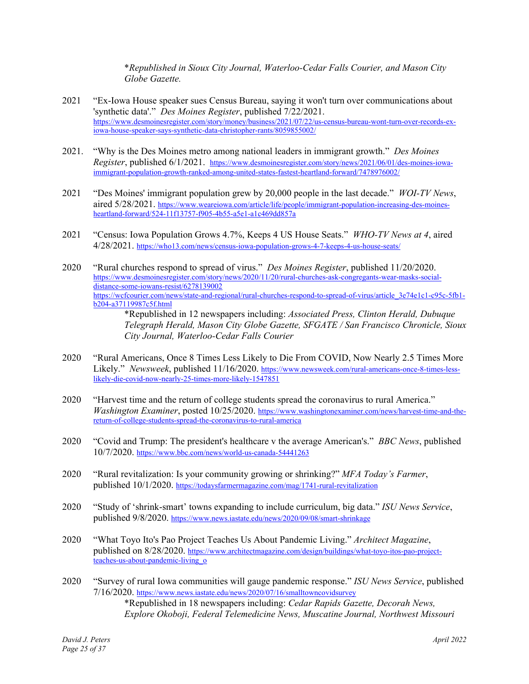\**Republished in Sioux City Journal, Waterloo-Cedar Falls Courier, and Mason City Globe Gazette.*

- 2021 "Ex-Iowa House speaker sues Census Bureau, saying it won't turn over communications about 'synthetic data'." *Des Moines Register*, published 7/22/2021. https://www.desmoinesregister.com/story/money/business/2021/07/22/us-census-bureau-wont-turn-over-records-exiowa-house-speaker-says-synthetic-data-christopher-rants/8059855002/
- 2021. "Why is the Des Moines metro among national leaders in immigrant growth." *Des Moines Register*, published 6/1/2021. https://www.desmoinesregister.com/story/news/2021/06/01/des-moines-iowaimmigrant-population-growth-ranked-among-united-states-fastest-heartland-forward/7478976002/
- 2021 "Des Moines' immigrant population grew by 20,000 people in the last decade." *WOI-TV News*, aired 5/28/2021. https://www.weareiowa.com/article/life/people/immigrant-population-increasing-des-moinesheartland-forward/524-11f13757-f905-4b55-a5e1-a1c469dd857a
- 2021 "Census: Iowa Population Grows 4.7%, Keeps 4 US House Seats." *WHO-TV News at 4*, aired 4/28/2021. https://who13.com/news/census-iowa-population-grows-4-7-keeps-4-us-house-seats/
- 2020 "Rural churches respond to spread of virus." *Des Moines Register*, published 11/20/2020. https://www.desmoinesregister.com/story/news/2020/11/20/rural-churches-ask-congregants-wear-masks-socialdistance-some-iowans-resist/6278139002 https://wcfcourier.com/news/state-and-regional/rural-churches-respond-to-spread-of-virus/article\_3e74e1c1-c95c-5fb1b204-a37119987c5f.html

\*Republished in 12 newspapers including: *Associated Press, Clinton Herald, Dubuque Telegraph Herald, Mason City Globe Gazette, SFGATE / San Francisco Chronicle, Sioux City Journal, Waterloo-Cedar Falls Courier* 

- 2020 "Rural Americans, Once 8 Times Less Likely to Die From COVID, Now Nearly 2.5 Times More Likely." *Newsweek*, published 11/16/2020. https://www.newsweek.com/rural-americans-once-8-times-lesslikely-die-covid-now-nearly-25-times-more-likely-1547851
- 2020 "Harvest time and the return of college students spread the coronavirus to rural America." *Washington Examiner*, posted 10/25/2020. https://www.washingtonexaminer.com/news/harvest-time-and-thereturn-of-college-students-spread-the-coronavirus-to-rural-america
- 2020 "Covid and Trump: The president's healthcare v the average American's." *BBC News*, published 10/7/2020. https://www.bbc.com/news/world-us-canada-54441263
- 2020 "Rural revitalization: Is your community growing or shrinking?" *MFA Today's Farmer*, published 10/1/2020. https://todaysfarmermagazine.com/mag/1741-rural-revitalization
- 2020 "Study of 'shrink-smart' towns expanding to include curriculum, big data." *ISU News Service*, published 9/8/2020. https://www.news.iastate.edu/news/2020/09/08/smart-shrinkage
- 2020 "What Toyo Ito's Pao Project Teaches Us About Pandemic Living." *Architect Magazine*, published on 8/28/2020. https://www.architectmagazine.com/design/buildings/what-toyo-itos-pao-projectteaches-us-about-pandemic-living\_o
- 2020 "Survey of rural Iowa communities will gauge pandemic response." *ISU News Service*, published 7/16/2020. https://www.news.iastate.edu/news/2020/07/16/smalltowncovidsurvey \*Republished in 18 newspapers including: *Cedar Rapids Gazette, Decorah News, Explore Okoboji, Federal Telemedicine News, Muscatine Journal, Northwest Missouri*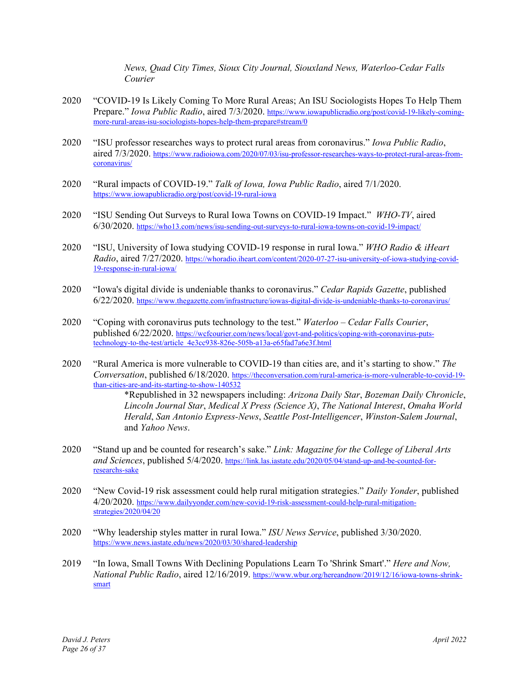*News, Quad City Times, Sioux City Journal, Siouxland News, Waterloo-Cedar Falls Courier* 

- 2020 "COVID-19 Is Likely Coming To More Rural Areas; An ISU Sociologists Hopes To Help Them Prepare." *Iowa Public Radio*, aired 7/3/2020. https://www.iowapublicradio.org/post/covid-19-likely-comingmore-rural-areas-isu-sociologists-hopes-help-them-prepare#stream/0
- 2020 "ISU professor researches ways to protect rural areas from coronavirus." *Iowa Public Radio*, aired 7/3/2020. https://www.radioiowa.com/2020/07/03/isu-professor-researches-ways-to-protect-rural-areas-fromcoronavirus/
- 2020 "Rural impacts of COVID-19." *Talk of Iowa, Iowa Public Radio*, aired 7/1/2020. https://www.iowapublicradio.org/post/covid-19-rural-iowa
- 2020 "ISU Sending Out Surveys to Rural Iowa Towns on COVID-19 Impact." *WHO-TV*, aired 6/30/2020. https://who13.com/news/isu-sending-out-surveys-to-rural-iowa-towns-on-covid-19-impact/
- 2020 "ISU, University of Iowa studying COVID-19 response in rural Iowa." *WHO Radio & iHeart Radio*, aired 7/27/2020. https://whoradio.iheart.com/content/2020-07-27-isu-university-of-iowa-studying-covid-19-response-in-rural-iowa/
- 2020 "Iowa's digital divide is undeniable thanks to coronavirus." *Cedar Rapids Gazette*, published 6/22/2020. https://www.thegazette.com/infrastructure/iowas-digital-divide-is-undeniable-thanks-to-coronavirus/
- 2020 "Coping with coronavirus puts technology to the test." *Waterloo Cedar Falls Courier*, published 6/22/2020. https://wcfcourier.com/news/local/govt-and-politics/coping-with-coronavirus-putstechnology-to-the-test/article\_4e3cc938-826e-505b-a13a-e65fad7a6e3f.html
- 2020 "Rural America is more vulnerable to COVID-19 than cities are, and it's starting to show." *The Conversation*, published 6/18/2020. https://theconversation.com/rural-america-is-more-vulnerable-to-covid-19 than-cities-are-and-its-starting-to-show-140532

\*Republished in 32 newspapers including: *Arizona Daily Star*, *Bozeman Daily Chronicle*, *Lincoln Journal Star*, *Medical X Press (Science X)*, *The National Interest*, *Omaha World Herald*, *San Antonio Express-News*, *Seattle Post-Intelligencer*, *Winston-Salem Journal*, and *Yahoo News*.

- 2020 "Stand up and be counted for research's sake." *Link: Magazine for the College of Liberal Arts and Sciences*, published 5/4/2020. https://link.las.iastate.edu/2020/05/04/stand-up-and-be-counted-forresearchs-sake
- 2020 "New Covid-19 risk assessment could help rural mitigation strategies." *Daily Yonder*, published 4/20/2020. https://www.dailyyonder.com/new-covid-19-risk-assessment-could-help-rural-mitigationstrategies/2020/04/20
- 2020 "Why leadership styles matter in rural Iowa." *ISU News Service*, published 3/30/2020. https://www.news.iastate.edu/news/2020/03/30/shared-leadership
- 2019 "In Iowa, Small Towns With Declining Populations Learn To 'Shrink Smart'." *Here and Now, National Public Radio*, aired 12/16/2019. https://www.wbur.org/hereandnow/2019/12/16/iowa-towns-shrinksmart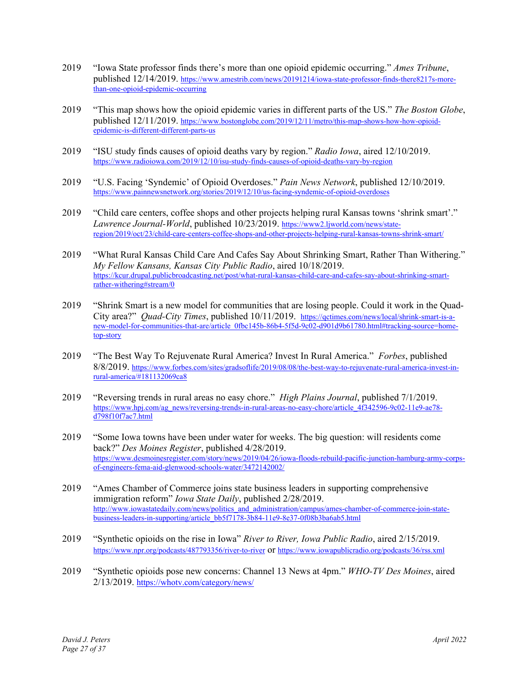- 2019 "Iowa State professor finds there's more than one opioid epidemic occurring." *Ames Tribune*, published 12/14/2019. https://www.amestrib.com/news/20191214/iowa-state-professor-finds-there8217s-morethan-one-opioid-epidemic-occurring
- 2019 "This map shows how the opioid epidemic varies in different parts of the US." *The Boston Globe*, published 12/11/2019. https://www.bostonglobe.com/2019/12/11/metro/this-map-shows-how-how-opioidepidemic-is-different-different-parts-us
- 2019 "ISU study finds causes of opioid deaths vary by region." *Radio Iowa*, aired 12/10/2019. https://www.radioiowa.com/2019/12/10/isu-study-finds-causes-of-opioid-deaths-vary-by-region
- 2019 "U.S. Facing 'Syndemic' of Opioid Overdoses." *Pain News Network*, published 12/10/2019. https://www.painnewsnetwork.org/stories/2019/12/10/us-facing-syndemic-of-opioid-overdoses
- 2019 "Child care centers, coffee shops and other projects helping rural Kansas towns 'shrink smart'." *Lawrence Journal-World*, published 10/23/2019. https://www2.ljworld.com/news/stateregion/2019/oct/23/child-care-centers-coffee-shops-and-other-projects-helping-rural-kansas-towns-shrink-smart/
- 2019 "What Rural Kansas Child Care And Cafes Say About Shrinking Smart, Rather Than Withering." *My Fellow Kansans, Kansas City Public Radio*, aired 10/18/2019. https://kcur.drupal.publicbroadcasting.net/post/what-rural-kansas-child-care-and-cafes-say-about-shrinking-smartrather-withering#stream/0
- 2019 "Shrink Smart is a new model for communities that are losing people. Could it work in the Quad-City area?" *Quad-City Times*, published 10/11/2019. https://qctimes.com/news/local/shrink-smart-is-anew-model-for-communities-that-are/article\_0fbc145b-86b4-5f5d-9c02-d901d9b61780.html#tracking-source=hometop-story
- 2019 "The Best Way To Rejuvenate Rural America? Invest In Rural America." *Forbes*, published 8/8/2019. https://www.forbes.com/sites/gradsoflife/2019/08/08/the-best-way-to-rejuvenate-rural-america-invest-inrural-america/#181132069ca8
- 2019 "Reversing trends in rural areas no easy chore." *High Plains Journal*, published 7/1/2019. https://www.hpj.com/ag\_news/reversing-trends-in-rural-areas-no-easy-chore/article\_4f342596-9c02-11e9-ae78 d798f10f7ac7.html
- 2019 "Some Iowa towns have been under water for weeks. The big question: will residents come back?" *Des Moines Register*, published 4/28/2019. https://www.desmoinesregister.com/story/news/2019/04/26/iowa-floods-rebuild-pacific-junction-hamburg-army-corpsof-engineers-fema-aid-glenwood-schools-water/3472142002/
- 2019 "Ames Chamber of Commerce joins state business leaders in supporting comprehensive immigration reform" *Iowa State Daily*, published 2/28/2019. http://www.iowastatedaily.com/news/politics\_and\_administration/campus/ames-chamber-of-commerce-join-statebusiness-leaders-in-supporting/article\_bb5f7178-3b84-11e9-8e37-0f08b3ba6ab5.html
- 2019 "Synthetic opioids on the rise in Iowa" *River to River, Iowa Public Radio*, aired 2/15/2019. https://www.npr.org/podcasts/487793356/river-to-river or https://www.iowapublicradio.org/podcasts/36/rss.xml
- 2019 "Synthetic opioids pose new concerns: Channel 13 News at 4pm." *WHO-TV Des Moines*, aired 2/13/2019. https://whotv.com/category/news/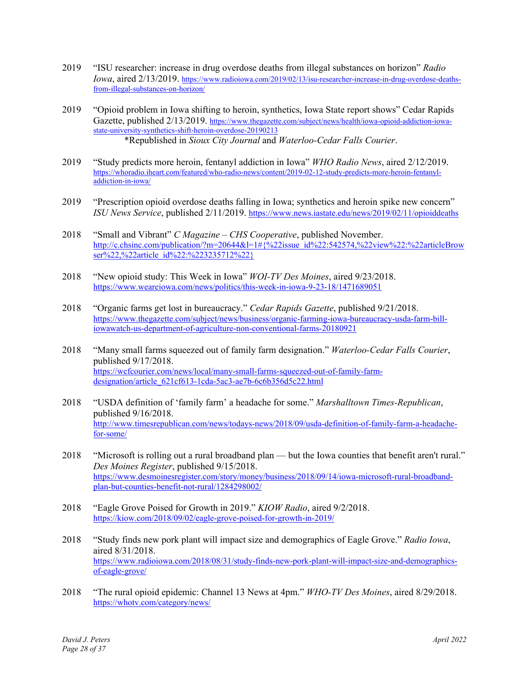- 2019 "ISU researcher: increase in drug overdose deaths from illegal substances on horizon" *Radio Iowa*, aired 2/13/2019. https://www.radioiowa.com/2019/02/13/isu-researcher-increase-in-drug-overdose-deathsfrom-illegal-substances-on-horizon/
- 2019 "Opioid problem in Iowa shifting to heroin, synthetics, Iowa State report shows" Cedar Rapids Gazette, published 2/13/2019. https://www.thegazette.com/subject/news/health/iowa-opioid-addiction-iowastate-university-synthetics-shift-heroin-overdose-20190213 \*Republished in *Sioux City Journal* and *Waterloo-Cedar Falls Courier*.
- 2019 "Study predicts more heroin, fentanyl addiction in Iowa" *WHO Radio News*, aired 2/12/2019. https://whoradio.iheart.com/featured/who-radio-news/content/2019-02-12-study-predicts-more-heroin-fentanyladdiction-in-iowa/
- 2019 "Prescription opioid overdose deaths falling in Iowa; synthetics and heroin spike new concern" *ISU News Service*, published 2/11/2019. https://www.news.iastate.edu/news/2019/02/11/opioiddeaths
- 2018 "Small and Vibrant" *C Magazine CHS Cooperative*, published November. http://c.chsinc.com/publication/?m=20644&l=1# $\frac{20644}{8}$ ]=1# $\frac{20622}{32}$ issue\_id%22:542574,%22view%22:%22articleBrow ser%22,%22article\_id%22:%223235712%22}
- 2018 "New opioid study: This Week in Iowa" *WOI-TV Des Moines*, aired 9/23/2018. https://www.weareiowa.com/news/politics/this-week-in-iowa-9-23-18/1471689051
- 2018 "Organic farms get lost in bureaucracy." *Cedar Rapids Gazette*, published 9/21/2018. https://www.thegazette.com/subject/news/business/organic-farming-iowa-bureaucracy-usda-farm-billiowawatch-us-department-of-agriculture-non-conventional-farms-20180921
- 2018 "Many small farms squeezed out of family farm designation." *Waterloo-Cedar Falls Courier*, published 9/17/2018. https://wcfcourier.com/news/local/many-small-farms-squeezed-out-of-family-farmdesignation/article\_621cf613-1cda-5ac3-ae7b-6c6b356d5c22.html
- 2018 "USDA definition of 'family farm' a headache for some." *Marshalltown Times-Republican*, published 9/16/2018. http://www.timesrepublican.com/news/todays-news/2018/09/usda-definition-of-family-farm-a-headachefor-some/
- 2018 "Microsoft is rolling out a rural broadband plan but the Iowa counties that benefit aren't rural." *Des Moines Register*, published 9/15/2018. https://www.desmoinesregister.com/story/money/business/2018/09/14/iowa-microsoft-rural-broadbandplan-but-counties-benefit-not-rural/1284298002/
- 2018 "Eagle Grove Poised for Growth in 2019." *KIOW Radio*, aired 9/2/2018. https://kiow.com/2018/09/02/eagle-grove-poised-for-growth-in-2019/
- 2018 "Study finds new pork plant will impact size and demographics of Eagle Grove." *Radio Iowa*, aired 8/31/2018. https://www.radioiowa.com/2018/08/31/study-finds-new-pork-plant-will-impact-size-and-demographicsof-eagle-grove/
- 2018 "The rural opioid epidemic: Channel 13 News at 4pm." *WHO-TV Des Moines*, aired 8/29/2018. https://whotv.com/category/news/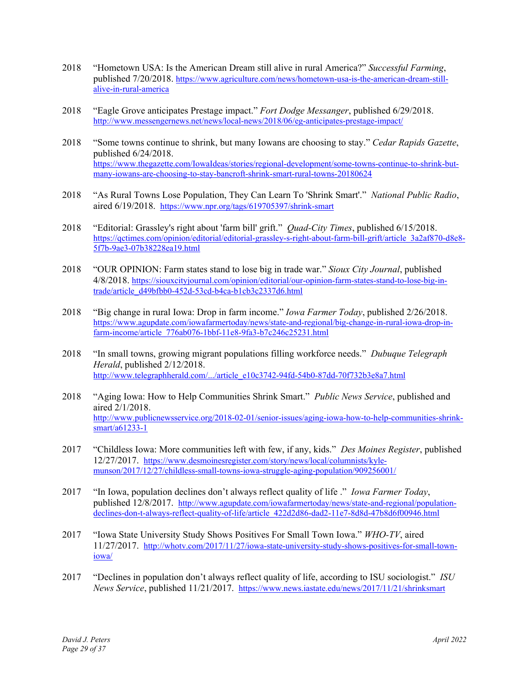- 2018 "Hometown USA: Is the American Dream still alive in rural America?" *Successful Farming*, published 7/20/2018. https://www.agriculture.com/news/hometown-usa-is-the-american-dream-stillalive-in-rural-america
- 2018 "Eagle Grove anticipates Prestage impact." *Fort Dodge Messanger*, published 6/29/2018. http://www.messengernews.net/news/local-news/2018/06/eg-anticipates-prestage-impact/
- 2018 "Some towns continue to shrink, but many Iowans are choosing to stay." *Cedar Rapids Gazette*, published 6/24/2018. https://www.thegazette.com/IowaIdeas/stories/regional-development/some-towns-continue-to-shrink-butmany-iowans-are-choosing-to-stay-bancroft-shrink-smart-rural-towns-20180624
- 2018 "As Rural Towns Lose Population, They Can Learn To 'Shrink Smart'." *National Public Radio*, aired 6/19/2018. https://www.npr.org/tags/619705397/shrink-smart
- 2018 "Editorial: Grassley's right about 'farm bill' grift." *Quad-City Times*, published 6/15/2018. https://qctimes.com/opinion/editorial/editorial-grassley-s-right-about-farm-bill-grift/article\_3a2af870-d8e8-5f7b-9ae3-07b38228ea19.html
- 2018 "OUR OPINION: Farm states stand to lose big in trade war." *Sioux City Journal*, published 4/8/2018. https://siouxcityjournal.com/opinion/editorial/our-opinion-farm-states-stand-to-lose-big-intrade/article\_d49bfbb0-452d-53cd-b4ca-b1cb3c2337d6.html
- 2018 "Big change in rural Iowa: Drop in farm income." *Iowa Farmer Today*, published 2/26/2018. https://www.agupdate.com/iowafarmertoday/news/state-and-regional/big-change-in-rural-iowa-drop-infarm-income/article\_776ab076-1bbf-11e8-9fa3-b7c246c25231.html
- 2018 "In small towns, growing migrant populations filling workforce needs." *Dubuque Telegraph Herald*, published 2/12/2018. http://www.telegraphherald.com/.../article\_e10c3742-94fd-54b0-87dd-70f732b3e8a7.html
- 2018 "Aging Iowa: How to Help Communities Shrink Smart." *Public News Service*, published and aired 2/1/2018. http://www.publicnewsservice.org/2018-02-01/senior-issues/aging-iowa-how-to-help-communities-shrinksmart/a61233-1
- 2017 "Childless Iowa: More communities left with few, if any, kids." *Des Moines Register*, published 12/27/2017. https://www.desmoinesregister.com/story/news/local/columnists/kylemunson/2017/12/27/childless-small-towns-iowa-struggle-aging-population/909256001/
- 2017 "In Iowa, population declines don't always reflect quality of life ." *Iowa Farmer Today*, published 12/8/2017. http://www.agupdate.com/iowafarmertoday/news/state-and-regional/populationdeclines-don-t-always-reflect-quality-of-life/article\_422d2d86-dad2-11e7-8d8d-47b8d6f00946.html
- 2017 "Iowa State University Study Shows Positives For Small Town Iowa." *WHO-TV*, aired 11/27/2017. http://whotv.com/2017/11/27/iowa-state-university-study-shows-positives-for-small-towniowa/
- 2017 "Declines in population don't always reflect quality of life, according to ISU sociologist." *ISU News Service*, published 11/21/2017. https://www.news.iastate.edu/news/2017/11/21/shrinksmart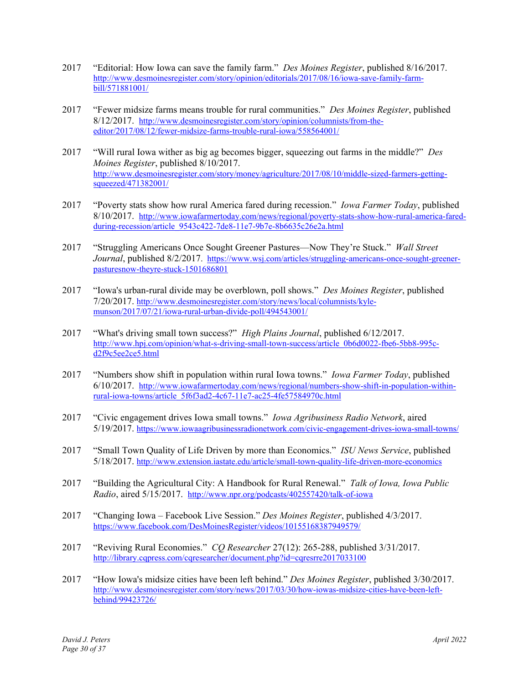- 2017 "Editorial: How Iowa can save the family farm." *Des Moines Register*, published 8/16/2017. http://www.desmoinesregister.com/story/opinion/editorials/2017/08/16/iowa-save-family-farmbill/571881001/
- 2017 "Fewer midsize farms means trouble for rural communities." *Des Moines Register*, published 8/12/2017. http://www.desmoinesregister.com/story/opinion/columnists/from-theeditor/2017/08/12/fewer-midsize-farms-trouble-rural-iowa/558564001/
- 2017 "Will rural Iowa wither as big ag becomes bigger, squeezing out farms in the middle?" *Des Moines Register*, published 8/10/2017. http://www.desmoinesregister.com/story/money/agriculture/2017/08/10/middle-sized-farmers-gettingsqueezed/471382001/
- 2017 "Poverty stats show how rural America fared during recession." *Iowa Farmer Today*, published 8/10/2017. http://www.iowafarmertoday.com/news/regional/poverty-stats-show-how-rural-america-faredduring-recession/article\_9543c422-7de8-11e7-9b7e-8b6635c26e2a.html
- 2017 "Struggling Americans Once Sought Greener Pastures—Now They're Stuck." *Wall Street Journal*, published 8/2/2017. https://www.wsj.com/articles/struggling-americans-once-sought-greenerpasturesnow-theyre-stuck-1501686801
- 2017 "Iowa's urban-rural divide may be overblown, poll shows." *Des Moines Register*, published 7/20/2017. http://www.desmoinesregister.com/story/news/local/columnists/kylemunson/2017/07/21/iowa-rural-urban-divide-poll/494543001/
- 2017 "What's driving small town success?" *High Plains Journal*, published 6/12/2017. http://www.hpj.com/opinion/what-s-driving-small-town-success/article\_0b6d0022-fbe6-5bb8-995cd2f9c5ee2ce5.html
- 2017 "Numbers show shift in population within rural Iowa towns." *Iowa Farmer Today*, published 6/10/2017. http://www.iowafarmertoday.com/news/regional/numbers-show-shift-in-population-withinrural-iowa-towns/article\_5f6f3ad2-4c67-11e7-ac25-4fe57584970c.html
- 2017 "Civic engagement drives Iowa small towns." *Iowa Agribusiness Radio Network*, aired 5/19/2017. https://www.iowaagribusinessradionetwork.com/civic-engagement-drives-iowa-small-towns/
- 2017 "Small Town Quality of Life Driven by more than Economics." *ISU News Service*, published 5/18/2017. http://www.extension.iastate.edu/article/small-town-quality-life-driven-more-economics
- 2017 "Building the Agricultural City: A Handbook for Rural Renewal." *Talk of Iowa, Iowa Public Radio*, aired 5/15/2017. http://www.npr.org/podcasts/402557420/talk-of-iowa
- 2017 "Changing Iowa Facebook Live Session." *Des Moines Register*, published 4/3/2017. https://www.facebook.com/DesMoinesRegister/videos/10155168387949579/
- 2017 "Reviving Rural Economies." *CQ Researcher* 27(12): 265-288, published 3/31/2017. http://library.cqpress.com/cqresearcher/document.php?id=cqresrre2017033100
- 2017 "How Iowa's midsize cities have been left behind." *Des Moines Register*, published 3/30/2017. http://www.desmoinesregister.com/story/news/2017/03/30/how-iowas-midsize-cities-have-been-leftbehind/99423726/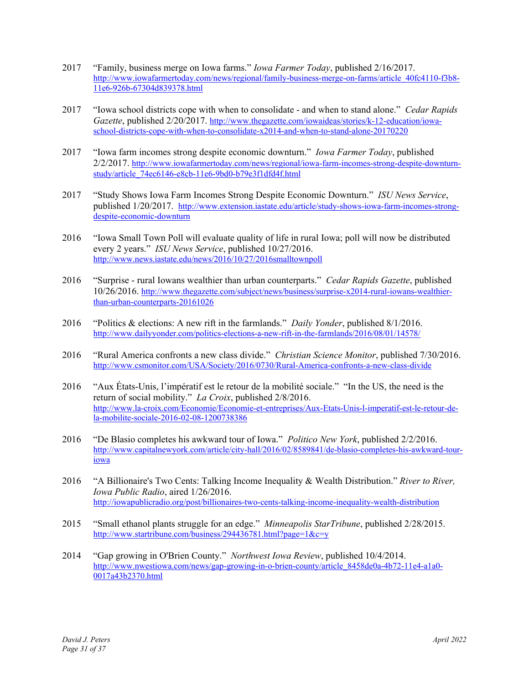- 2017 "Family, business merge on Iowa farms." *Iowa Farmer Today*, published 2/16/2017. http://www.iowafarmertoday.com/news/regional/family-business-merge-on-farms/article 40fc4110-f3b8-11e6-926b-67304d839378.html
- 2017 "Iowa school districts cope with when to consolidate and when to stand alone." *Cedar Rapids Gazette*, published 2/20/2017. http://www.thegazette.com/iowaideas/stories/k-12-education/iowaschool-districts-cope-with-when-to-consolidate-x2014-and-when-to-stand-alone-20170220
- 2017 "Iowa farm incomes strong despite economic downturn." *Iowa Farmer Today*, published 2/2/2017. http://www.iowafarmertoday.com/news/regional/iowa-farm-incomes-strong-despite-downturnstudy/article\_74ec6146-e8cb-11e6-9bd0-b79e3f1dfd4f.html
- 2017 "Study Shows Iowa Farm Incomes Strong Despite Economic Downturn." *ISU News Service*, published 1/20/2017. http://www.extension.iastate.edu/article/study-shows-iowa-farm-incomes-strongdespite-economic-downturn
- 2016 "Iowa Small Town Poll will evaluate quality of life in rural Iowa; poll will now be distributed every 2 years." *ISU News Service*, published 10/27/2016. http://www.news.iastate.edu/news/2016/10/27/2016smalltownpoll
- 2016 "Surprise rural Iowans wealthier than urban counterparts." *Cedar Rapids Gazette*, published 10/26/2016. http://www.thegazette.com/subject/news/business/surprise-x2014-rural-iowans-wealthierthan-urban-counterparts-20161026
- 2016 "Politics & elections: A new rift in the farmlands." *Daily Yonder*, published 8/1/2016. http://www.dailyyonder.com/politics-elections-a-new-rift-in-the-farmlands/2016/08/01/14578/
- 2016 "Rural America confronts a new class divide." *Christian Science Monitor*, published 7/30/2016. http://www.csmonitor.com/USA/Society/2016/0730/Rural-America-confronts-a-new-class-divide
- 2016 "Aux États-Unis, l'impératif est le retour de la mobilité sociale." "In the US, the need is the return of social mobility." *La Croix*, published 2/8/2016. http://www.la-croix.com/Economie/Economie-et-entreprises/Aux-Etats-Unis-l-imperatif-est-le-retour-dela-mobilite-sociale-2016-02-08-1200738386
- 2016 "De Blasio completes his awkward tour of Iowa." *Politico New York*, published 2/2/2016. http://www.capitalnewyork.com/article/city-hall/2016/02/8589841/de-blasio-completes-his-awkward-touriowa
- 2016 "A Billionaire's Two Cents: Talking Income Inequality & Wealth Distribution." *River to River, Iowa Public Radio*, aired 1/26/2016. http://iowapublicradio.org/post/billionaires-two-cents-talking-income-inequality-wealth-distribution
- 2015 "Small ethanol plants struggle for an edge." *Minneapolis StarTribune*, published 2/28/2015. http://www.startribune.com/business/294436781.html?page=1&c=y
- 2014 "Gap growing in O'Brien County." *Northwest Iowa Review*, published 10/4/2014. http://www.nwestiowa.com/news/gap-growing-in-o-brien-county/article 8458de0a-4b72-11e4-a1a0-0017a43b2370.html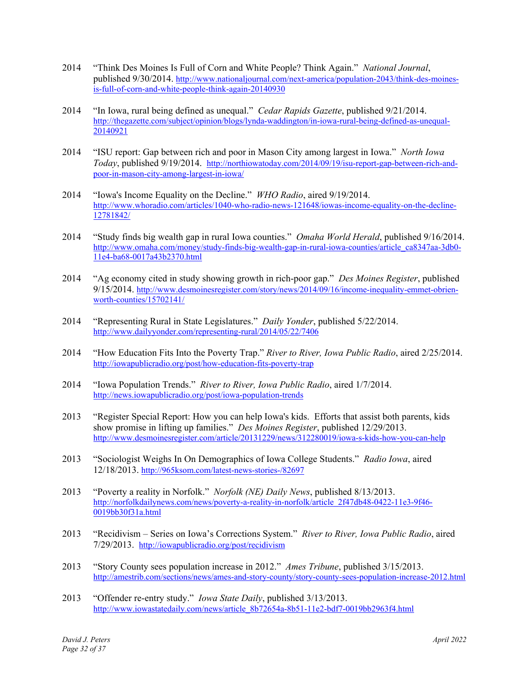- 2014 "Think Des Moines Is Full of Corn and White People? Think Again." *National Journal*, published 9/30/2014. http://www.nationaljournal.com/next-america/population-2043/think-des-moinesis-full-of-corn-and-white-people-think-again-20140930
- 2014 "In Iowa, rural being defined as unequal." *Cedar Rapids Gazette*, published 9/21/2014. http://thegazette.com/subject/opinion/blogs/lynda-waddington/in-iowa-rural-being-defined-as-unequal-20140921
- 2014 "ISU report: Gap between rich and poor in Mason City among largest in Iowa." *North Iowa Today*, published 9/19/2014. http://northiowatoday.com/2014/09/19/isu-report-gap-between-rich-andpoor-in-mason-city-among-largest-in-iowa/
- 2014 "Iowa's Income Equality on the Decline." *WHO Radio*, aired 9/19/2014. http://www.whoradio.com/articles/1040-who-radio-news-121648/iowas-income-equality-on-the-decline-12781842/
- 2014 "Study finds big wealth gap in rural Iowa counties." *Omaha World Herald*, published 9/16/2014. http://www.omaha.com/money/study-finds-big-wealth-gap-in-rural-iowa-counties/article\_ca8347aa-3db0-11e4-ba68-0017a43b2370.html
- 2014 "Ag economy cited in study showing growth in rich-poor gap." *Des Moines Register*, published 9/15/2014. http://www.desmoinesregister.com/story/news/2014/09/16/income-inequality-emmet-obrienworth-counties/15702141/
- 2014 "Representing Rural in State Legislatures." *Daily Yonder*, published 5/22/2014. http://www.dailyyonder.com/representing-rural/2014/05/22/7406
- 2014 "How Education Fits Into the Poverty Trap." *River to River, Iowa Public Radio*, aired 2/25/2014. http://iowapublicradio.org/post/how-education-fits-poverty-trap
- 2014 "Iowa Population Trends." *River to River, Iowa Public Radio*, aired 1/7/2014. http://news.iowapublicradio.org/post/iowa-population-trends
- 2013 "Register Special Report: How you can help Iowa's kids. Efforts that assist both parents, kids show promise in lifting up families." *Des Moines Register*, published 12/29/2013. http://www.desmoinesregister.com/article/20131229/news/312280019/iowa-s-kids-how-you-can-help
- 2013 "Sociologist Weighs In On Demographics of Iowa College Students." *Radio Iowa*, aired 12/18/2013. http://965ksom.com/latest-news-stories-/82697
- 2013 "Poverty a reality in Norfolk." *Norfolk (NE) Daily News*, published 8/13/2013. http://norfolkdailynews.com/news/poverty-a-reality-in-norfolk/article\_2f47db48-0422-11e3-9f46- 0019bb30f31a.html
- 2013 "Recidivism Series on Iowa's Corrections System." *River to River, Iowa Public Radio*, aired 7/29/2013. http://iowapublicradio.org/post/recidivism
- 2013 "Story County sees population increase in 2012." *Ames Tribune*, published 3/15/2013. http://amestrib.com/sections/news/ames-and-story-county/story-county-sees-population-increase-2012.html
- 2013 "Offender re-entry study." *Iowa State Daily*, published 3/13/2013. http://www.iowastatedaily.com/news/article\_8b72654a-8b51-11e2-bdf7-0019bb2963f4.html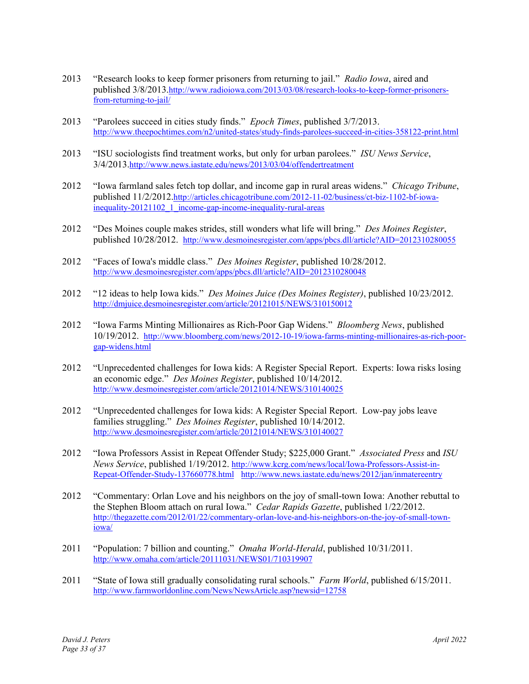- 2013 "Research looks to keep former prisoners from returning to jail." *Radio Iowa*, aired and published 3/8/2013.http://www.radioiowa.com/2013/03/08/research-looks-to-keep-former-prisonersfrom-returning-to-jail/
- 2013 "Parolees succeed in cities study finds." *Epoch Times*, published 3/7/2013. http://www.theepochtimes.com/n2/united-states/study-finds-parolees-succeed-in-cities-358122-print.html
- 2013 "ISU sociologists find treatment works, but only for urban parolees." *ISU News Service*, 3/4/2013.http://www.news.iastate.edu/news/2013/03/04/offendertreatment
- 2012 "Iowa farmland sales fetch top dollar, and income gap in rural areas widens." *Chicago Tribune*, published 11/2/2012.http://articles.chicagotribune.com/2012-11-02/business/ct-biz-1102-bf-iowainequality-20121102 1 income-gap-income-inequality-rural-areas
- 2012 "Des Moines couple makes strides, still wonders what life will bring." *Des Moines Register*, published 10/28/2012. http://www.desmoinesregister.com/apps/pbcs.dll/article?AID=2012310280055
- 2012 "Faces of Iowa's middle class." *Des Moines Register*, published 10/28/2012. http://www.desmoinesregister.com/apps/pbcs.dll/article?AID=2012310280048
- 2012 "12 ideas to help Iowa kids." *Des Moines Juice (Des Moines Register)*, published 10/23/2012. http://dmjuice.desmoinesregister.com/article/20121015/NEWS/310150012
- 2012 "Iowa Farms Minting Millionaires as Rich-Poor Gap Widens." *Bloomberg News*, published 10/19/2012. http://www.bloomberg.com/news/2012-10-19/iowa-farms-minting-millionaires-as-rich-poorgap-widens.html
- 2012 "Unprecedented challenges for Iowa kids: A Register Special Report. Experts: Iowa risks losing an economic edge." *Des Moines Register*, published 10/14/2012. http://www.desmoinesregister.com/article/20121014/NEWS/310140025
- 2012 "Unprecedented challenges for Iowa kids: A Register Special Report. Low-pay jobs leave families struggling." *Des Moines Register*, published 10/14/2012. http://www.desmoinesregister.com/article/20121014/NEWS/310140027
- 2012 "Iowa Professors Assist in Repeat Offender Study; \$225,000 Grant." *Associated Press* and *ISU News Service*, published 1/19/2012. http://www.kcrg.com/news/local/Iowa-Professors-Assist-in-Repeat-Offender-Study-137660778.html http://www.news.iastate.edu/news/2012/jan/inmatereentry
- 2012 "Commentary: Orlan Love and his neighbors on the joy of small-town Iowa: Another rebuttal to the Stephen Bloom attach on rural Iowa." *Cedar Rapids Gazette*, published 1/22/2012. http://thegazette.com/2012/01/22/commentary-orlan-love-and-his-neighbors-on-the-joy-of-small-towniowa/
- 2011 "Population: 7 billion and counting." *Omaha World-Herald*, published 10/31/2011. http://www.omaha.com/article/20111031/NEWS01/710319907
- 2011 "State of Iowa still gradually consolidating rural schools." *Farm World*, published 6/15/2011. http://www.farmworldonline.com/News/NewsArticle.asp?newsid=12758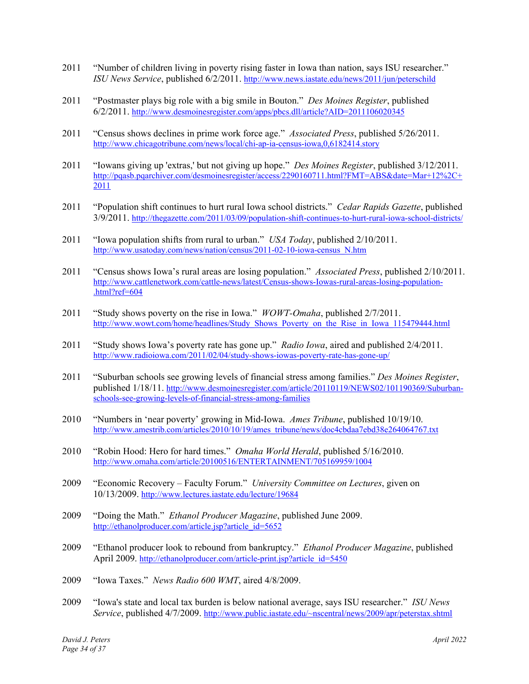- 2011 "Number of children living in poverty rising faster in Iowa than nation, says ISU researcher." *ISU News Service*, published 6/2/2011. http://www.news.iastate.edu/news/2011/jun/peterschild
- 2011 "Postmaster plays big role with a big smile in Bouton." *Des Moines Register*, published 6/2/2011. http://www.desmoinesregister.com/apps/pbcs.dll/article?AID=2011106020345
- 2011 "Census shows declines in prime work force age." *Associated Press*, published 5/26/2011. http://www.chicagotribune.com/news/local/chi-ap-ia-census-iowa,0,6182414.story
- 2011 "Iowans giving up 'extras,' but not giving up hope." *Des Moines Register*, published 3/12/2011. http://pqasb.pqarchiver.com/desmoinesregister/access/2290160711.html?FMT=ABS&date=Mar+12%2C+ 2011
- 2011 "Population shift continues to hurt rural Iowa school districts." *Cedar Rapids Gazette*, published 3/9/2011. http://thegazette.com/2011/03/09/population-shift-continues-to-hurt-rural-iowa-school-districts/
- 2011 "Iowa population shifts from rural to urban." *USA Today*, published 2/10/2011. http://www.usatoday.com/news/nation/census/2011-02-10-iowa-census\_N.htm
- 2011 "Census shows Iowa's rural areas are losing population." *Associated Press*, published 2/10/2011. http://www.cattlenetwork.com/cattle-news/latest/Census-shows-Iowas-rural-areas-losing-population- .html?ref=604
- 2011 "Study shows poverty on the rise in Iowa." *WOWT-Omaha*, published 2/7/2011. http://www.wowt.com/home/headlines/Study\_Shows\_Poverty\_on\_the\_Rise\_in\_Iowa\_115479444.html
- 2011 "Study shows Iowa's poverty rate has gone up." *Radio Iowa*, aired and published 2/4/2011. http://www.radioiowa.com/2011/02/04/study-shows-iowas-poverty-rate-has-gone-up/
- 2011 "Suburban schools see growing levels of financial stress among families." *Des Moines Register*, published 1/18/11. http://www.desmoinesregister.com/article/20110119/NEWS02/101190369/Suburbanschools-see-growing-levels-of-financial-stress-among-families
- 2010 "Numbers in 'near poverty' growing in Mid-Iowa. *Ames Tribune*, published 10/19/10. http://www.amestrib.com/articles/2010/10/19/ames\_tribune/news/doc4cbdaa7ebd38e264064767.txt
- 2010 "Robin Hood: Hero for hard times." *Omaha World Herald*, published 5/16/2010. http://www.omaha.com/article/20100516/ENTERTAINMENT/705169959/1004
- 2009 "Economic Recovery Faculty Forum." *University Committee on Lectures*, given on 10/13/2009. http://www.lectures.iastate.edu/lecture/19684
- 2009 "Doing the Math." *Ethanol Producer Magazine*, published June 2009. http://ethanolproducer.com/article.jsp?article\_id=5652
- 2009 "Ethanol producer look to rebound from bankruptcy." *Ethanol Producer Magazine*, published April 2009. http://ethanolproducer.com/article-print.jsp?article\_id=5450
- 2009 "Iowa Taxes." *News Radio 600 WMT*, aired 4/8/2009.
- 2009 "Iowa's state and local tax burden is below national average, says ISU researcher." *ISU News Service*, published 4/7/2009. http://www.public.iastate.edu/~nscentral/news/2009/apr/peterstax.shtml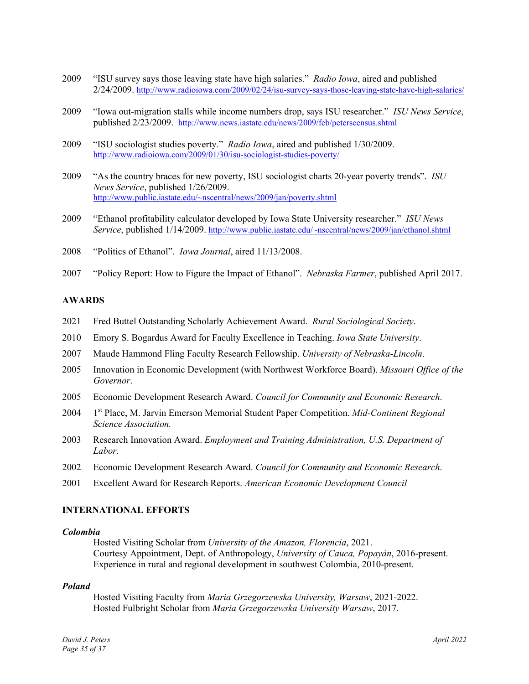- 2009 "ISU survey says those leaving state have high salaries." *Radio Iowa*, aired and published 2/24/2009. http://www.radioiowa.com/2009/02/24/isu-survey-says-those-leaving-state-have-high-salaries/
- 2009 "Iowa out-migration stalls while income numbers drop, says ISU researcher." *ISU News Service*, published 2/23/2009. http://www.news.iastate.edu/news/2009/feb/peterscensus.shtml
- 2009 "ISU sociologist studies poverty." *Radio Iowa*, aired and published 1/30/2009. http://www.radioiowa.com/2009/01/30/isu-sociologist-studies-poverty/
- 2009 "As the country braces for new poverty, ISU sociologist charts 20-year poverty trends". *ISU News Service*, published 1/26/2009. http://www.public.iastate.edu/~nscentral/news/2009/jan/poverty.shtml
- 2009 "Ethanol profitability calculator developed by Iowa State University researcher." *ISU News Service*, published 1/14/2009. http://www.public.iastate.edu/~nscentral/news/2009/jan/ethanol.shtml
- 2008 "Politics of Ethanol". *Iowa Journal*, aired 11/13/2008.
- 2007 "Policy Report: How to Figure the Impact of Ethanol". *Nebraska Farmer*, published April 2017.

### **AWARDS**

- 2021 Fred Buttel Outstanding Scholarly Achievement Award. *Rural Sociological Society*.
- 2010 Emory S. Bogardus Award for Faculty Excellence in Teaching. *Iowa State University*.
- 2007 Maude Hammond Fling Faculty Research Fellowship. *University of Nebraska-Lincoln*.
- 2005 Innovation in Economic Development (with Northwest Workforce Board). *Missouri Office of the Governor*.
- 2005 Economic Development Research Award. *Council for Community and Economic Research*.
- 2004 1<sup>st</sup> Place, M. Jarvin Emerson Memorial Student Paper Competition. *Mid-Continent Regional Science Association.*
- 2003 Research Innovation Award. *Employment and Training Administration, U.S. Department of Labor.*
- 2002 Economic Development Research Award. *Council for Community and Economic Research*.
- 2001 Excellent Award for Research Reports. *American Economic Development Council*

### **INTERNATIONAL EFFORTS**

### *Colombia*

Hosted Visiting Scholar from *University of the Amazon, Florencia*, 2021. Courtesy Appointment, Dept. of Anthropology, *University of Cauca, Popayán*, 2016-present. Experience in rural and regional development in southwest Colombia, 2010-present.

#### *Poland*

Hosted Visiting Faculty from *Maria Grzegorzewska University, Warsaw*, 2021-2022. Hosted Fulbright Scholar from *Maria Grzegorzewska University Warsaw*, 2017.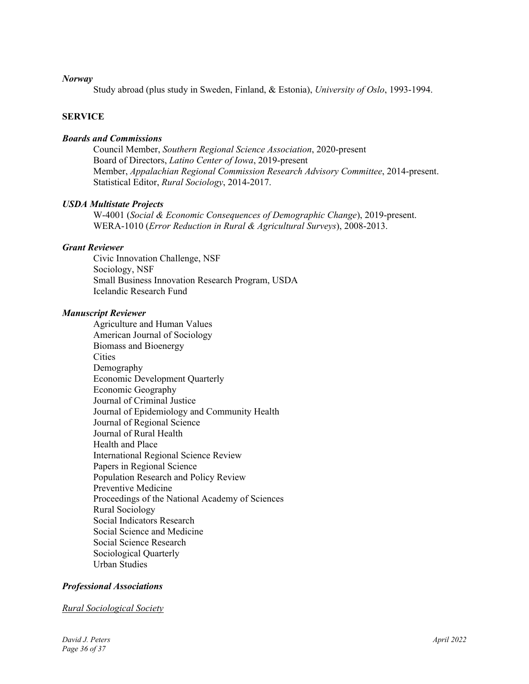### *Norway*

Study abroad (plus study in Sweden, Finland, & Estonia), *University of Oslo*, 1993-1994.

# **SERVICE**

### *Boards and Commissions*

Council Member, *Southern Regional Science Association*, 2020-present Board of Directors, *Latino Center of Iowa*, 2019-present Member, *Appalachian Regional Commission Research Advisory Committee*, 2014-present. Statistical Editor, *Rural Sociology*, 2014-2017.

### *USDA Multistate Projects*

W-4001 (*Social & Economic Consequences of Demographic Change*), 2019-present. WERA-1010 (*Error Reduction in Rural & Agricultural Surveys*), 2008-2013.

### *Grant Reviewer*

Civic Innovation Challenge, NSF Sociology, NSF Small Business Innovation Research Program, USDA Icelandic Research Fund

### *Manuscript Reviewer*

Agriculture and Human Values American Journal of Sociology Biomass and Bioenergy **Cities** Demography Economic Development Quarterly Economic Geography Journal of Criminal Justice Journal of Epidemiology and Community Health Journal of Regional Science Journal of Rural Health Health and Place International Regional Science Review Papers in Regional Science Population Research and Policy Review Preventive Medicine Proceedings of the National Academy of Sciences Rural Sociology Social Indicators Research Social Science and Medicine Social Science Research Sociological Quarterly Urban Studies

# *Professional Associations*

#### *Rural Sociological Society*